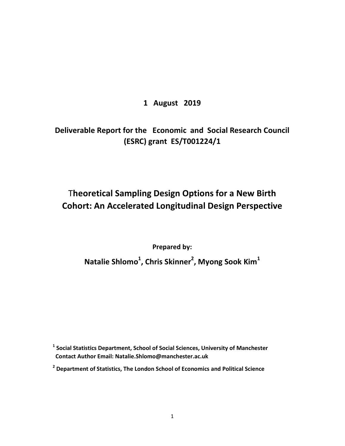# **1 August 2019**

# **Deliverable Report for the Economic and Social Research Council (ESRC) grant ES/T001224/1**

# T**heoretical Sampling Design Options for a New Birth Cohort: An Accelerated Longitudinal Design Perspective**

**Prepared by:** 

**Natalie Shlomo<sup>1</sup> , Chris Skinner<sup>2</sup> , Myong Sook Kim<sup>1</sup>**

**1 Social Statistics Department, School of Social Sciences, University of Manchester Contact Author Email: Natalie.Shlomo@manchester.ac.uk** 

**<sup>2</sup> Department of Statistics, The London School of Economics and Political Science**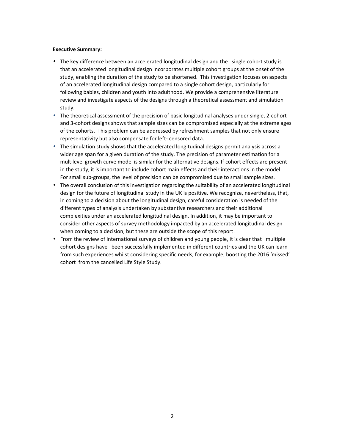#### **Executive Summary:**

- The key difference between an accelerated longitudinal design and the single cohort study is that an accelerated longitudinal design incorporates multiple cohort groups at the onset of the study, enabling the duration of the study to be shortened. This investigation focuses on aspects of an accelerated longitudinal design compared to a single cohort design, particularly for following babies, children and youth into adulthood. We provide a comprehensive literature review and investigate aspects of the designs through a theoretical assessment and simulation study.
- The theoretical assessment of the precision of basic longitudinal analyses under single, 2-cohort and 3-cohort designs shows that sample sizes can be compromised especially at the extreme ages of the cohorts. This problem can be addressed by refreshment samples that not only ensure representativity but also compensate for left- censored data.
- The simulation study shows that the accelerated longitudinal designs permit analysis across a wider age span for a given duration of the study. The precision of parameter estimation for a multilevel growth curve model is similar for the alternative designs. If cohort effects are present in the study, it is important to include cohort main effects and their interactions in the model. For small sub-groups, the level of precision can be compromised due to small sample sizes.
- The overall conclusion of this investigation regarding the suitability of an accelerated longitudinal design for the future of longitudinal study in the UK is positive. We recognize, nevertheless, that, in coming to a decision about the longitudinal design, careful consideration is needed of the different types of analysis undertaken by substantive researchers and their additional complexities under an accelerated longitudinal design. In addition, it may be important to consider other aspects of survey methodology impacted by an accelerated longitudinal design when coming to a decision, but these are outside the scope of this report.
- From the review of international surveys of children and young people, it is clear that multiple cohort designs have been successfully implemented in different countries and the UK can learn from such experiences whilst considering specific needs, for example, boosting the 2016 'missed' cohort from the cancelled Life Style Study.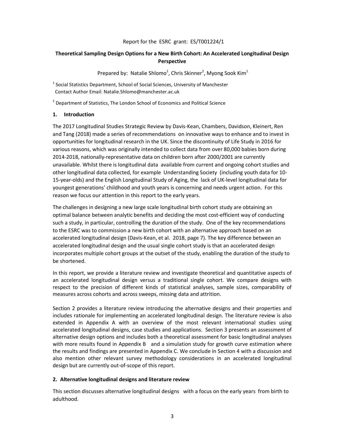#### Report for the ESRC grant: ES/T001224/1

# **Theoretical Sampling Design Options for a New Birth Cohort: An Accelerated Longitudinal Design Perspective**

Prepared by: Natalie Shlomo<sup>1</sup>, Chris Skinner<sup>2</sup>, Myong Sook Kim<sup>1</sup>

 $<sup>1</sup>$  Social Statistics Department, School of Social Sciences, University of Manchester</sup> Contact Author Email: Natalie.Shlomo@manchester.ac.uk

 $2$  Department of Statistics, The London School of Economics and Political Science

#### **1. Introduction**

The 2017 Longitudinal Studies Strategic Review by Davis-Kean, Chambers, Davidson, Kleinert, Ren and Tang (2018) made a series of recommendations on innovative ways to enhance and to invest in opportunities for longitudinal research in the UK. Since the discontinuity of Life Study in 2016 for various reasons, which was originally intended to collect data from over 80,000 babies born during 2014-2018, nationally-representative data on children born after 2000/2001 are currently unavailable. Whilst there is longitudinal data available from current and ongoing cohort studies and other longitudinal data collected, for example Understanding Society (including youth data for 10- 15-year-olds) and the English Longitudinal Study of Aging, the lack of UK-level longitudinal data for youngest generations' childhood and youth years is concerning and needs urgent action. For this reason we focus our attention in this report to the early years.

The challenges in designing a new large scale longitudinal birth cohort study are obtaining an optimal balance between analytic benefits and deciding the most cost-efficient way of conducting such a study, in particular, controlling the duration of the study. One of the key recommendations to the ESRC was to commission a new birth cohort with an alternative approach based on an accelerated longitudinal design (Davis-Kean, et al. 2018, page 7). The key difference between an accelerated longitudinal design and the usual single cohort study is that an accelerated design incorporates multiple cohort groups at the outset of the study, enabling the duration of the study to be shortened.

In this report, we provide a literature review and investigate theoretical and quantitative aspects of an accelerated longitudinal design versus a traditional single cohort. We compare designs with respect to the precision of different kinds of statistical analyses, sample sizes, comparability of measures across cohorts and across sweeps, missing data and attrition.

Section 2 provides a literature review introducing the alternative designs and their properties and includes rationale for implementing an accelerated longitudinal design. The literature review is also extended in Appendix A with an overview of the most relevant international studies using accelerated longitudinal designs, case studies and applications. Section 3 presents an assessment of alternative design options and includes both a theoretical assessment for basic longitudinal analyses with more results found in Appendix B and a simulation study for growth curve estimation where the results and findings are presented in Appendix C. We conclude in Section 4 with a discussion and also mention other relevant survey methodology considerations in an accelerated longitudinal design but are currently out-of-scope of this report.

# **2. Alternative longitudinal designs and literature review**

This section discusses alternative longitudinal designs with a focus on the early years from birth to adulthood.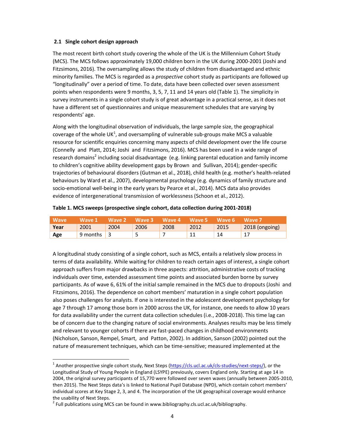#### **2.1 Single cohort design approach**

The most recent birth cohort study covering the whole of the UK is the Millennium Cohort Study (MCS). The MCS follows approximately 19,000 children born in the UK during 2000-2001 (Joshi and Fitzsimons, 2016). The oversampling allows the study of children from disadvantaged and ethnic minority families. The MCS is regarded as a *prospective* cohort study as participants are followed up "longitudinally" over a period of time. To date, data have been collected over seven assessment points when respondents were 9 months, 3, 5, 7, 11 and 14 years old (Table 1). The simplicity in survey instruments in a single cohort study is of great advantage in a practical sense, as it does not have a different set of questionnaires and unique measurement schedules that are varying by respondents' age.

Along with the longitudinal observation of individuals, the large sample size, the geographical coverage of the whole UK<sup>1</sup>, and oversampling of vulnerable sub-groups make MCS a valuable resource for scientific enquiries concerning many aspects of child development over the life course (Connelly and Platt, 2014; Joshi and Fitzsimons, 2016). MCS has been used in a wide range of research domains<sup>2</sup> including social disadvantage (e.g. linking parental education and family income to children's cognitive ability development gaps by Brown and Sullivan, 2014); gender-specific trajectories of behavioural disorders (Gutman et al., 2018), child health (e.g. mother's health-related behaviours by Ward et al., 2007), developmental psychology (e.g. dynamics of family structure and socio-emotional well-being in the early years by Pearce et al., 2014). MCS data also provides evidence of intergenerational transmission of worklessness (Schoon et al., 2012).

| <b>Wave</b> | Wave 1             | Wave 2 Wave 3 |      | Wave 4 Wave 5 Wave 6 |      |      | Wave 7                          |
|-------------|--------------------|---------------|------|----------------------|------|------|---------------------------------|
| Year        | 2001               | 2004          | 2006 | 2008                 | 2012 | 2015 | $\sqrt{2018 \text{ (ongoing)}}$ |
| Age         | 9 months $\vert$ 3 |               | ۔    |                      |      |      |                                 |

#### **Table 1. MCS sweeps (prospective single cohort, data collection during 2001-2018)**

A longitudinal study consisting of a single cohort, such as MCS, entails a relatively slow process in terms of data availability. While waiting for children to reach certain ages of interest, a single cohort approach suffers from major drawbacks in three aspects: attrition, administrative costs of tracking individuals over time, extended assessment time points and associated burden borne by survey participants. As of wave 6, 61% of the initial sample remained in the MCS due to dropouts (Joshi and Fitzsimons, 2016). The dependence on cohort members' maturation in a single cohort population also poses challenges for analysts. If one is interested in the adolescent development psychology for age 7 through 17 among those born in 2000 across the UK, for instance, one needs to allow 10 years for data availability under the current data collection schedules (i.e., 2008-2018). This time lag can be of concern due to the changing nature of social environments. Analyses results may be less timely and relevant to younger cohorts if there are fast-paced changes in childhood environments (Nicholson, Sanson, Rempel, Smart, and Patton, 2002). In addition, Sanson (2002) pointed out the nature of measurement techniques, which can be time-sensitive; measured implemented at the

l,

<sup>&</sup>lt;sup>1</sup> Another prospective single cohort study, Next Steps (https://cls.ucl.ac.uk/cls-studies/next-steps/), or the Longitudinal Study of Young People in England (LSYPE) previously, covers England only. Starting at age 14 in 2004, the original survey participants of 15,770 were followed over seven waves (annually between 2005-2010, then 2015). The Next Steps data's is linked to National Pupil Database (NPD), which contain cohort members' individual scores at Key Stage 2, 3, and 4. The incorporation of the UK geographical coverage would enhance the usability of Next Steps.

 $2$  Full publications using MCS can be found in www.bibliography.cls.ucl.ac.uk/bibliography.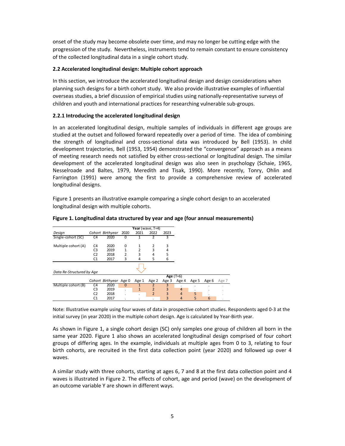onset of the study may become obsolete over time, and may no longer be cutting edge with the progression of the study. Nevertheless, instruments tend to remain constant to ensure consistency of the collected longitudinal data in a single cohort study.

# **2.2 Accelerated longitudinal design: Multiple cohort approach**

In this section, we introduce the accelerated longitudinal design and design considerations when planning such designs for a birth cohort study. We also provide illustrative examples of influential overseas studies, a brief discussion of empirical studies using nationally-representative surveys of children and youth and international practices for researching vulnerable sub-groups.

# **2.2.1 Introducing the accelerated longitudinal design**

In an accelerated longitudinal design, multiple samples of individuals in different age groups are studied at the outset and followed forward repeatedly over a period of time. The idea of combining the strength of longitudinal and cross-sectional data was introduced by Bell (1953). In child development trajectories, Bell (1953, 1954) demonstrated the "convergence" approach as a means of meeting research needs not satisfied by either cross-sectional or longitudinal design. The similar development of the accelerated longitudinal design was also seen in psychology (Schaie, 1965, Nesselroade and Baltes, 1979, Meredith and Tisak, 1990). More recently, Tonry, Ohlin and Farrington (1991) were among the first to provide a comprehensive review of accelerated longitudinal designs.

Figure 1 presents an illustrative example comparing a single cohort design to an accelerated longitudinal design with multiple cohorts.

|                           |                |                        |              | Year (wave, $T=4$ ) |                |             |                |       |       |       |
|---------------------------|----------------|------------------------|--------------|---------------------|----------------|-------------|----------------|-------|-------|-------|
| Design                    |                | Cohort Birthyear       | 2020         | 2021                | 2022           | 2023        |                |       |       |       |
| Single-cohort (SC)        | C <sub>4</sub> | 2020                   |              |                     |                |             |                |       |       |       |
| Multiple cohort (A)       | C <sub>4</sub> | 2020                   | $\mathbf 0$  |                     | 2              | 3           |                |       |       |       |
|                           | C <sub>3</sub> | 2019                   | $\mathbf{1}$ | $\overline{2}$      | 3              | 4           |                |       |       |       |
|                           | C <sub>2</sub> | 2018                   | 2            | 3                   | 4              | 5           |                |       |       |       |
|                           | C <sub>1</sub> | 2017                   | 3            | 4                   | 5              | 6           |                |       |       |       |
|                           |                |                        |              |                     |                |             |                |       |       |       |
| Data Re-Structured by Age |                |                        |              |                     |                |             |                |       |       |       |
|                           |                |                        |              |                     |                | Age $(T=6)$ |                |       |       |       |
|                           |                | Cohort Birthyear Age 0 |              | Age 1               | Age 2          | Age 3       | Age 4          | Age 5 | Age 6 | Age 7 |
| Multiple cohort (B)       | C4             | 2020                   | 0            |                     |                | 3           |                | ٠     | ٠     | ٠     |
|                           | C <sub>3</sub> | 2019                   | $\cdot$      | $\mathbf{1}$        | $\overline{2}$ | 3           | 4              | ٠     | ٠     | ٠     |
|                           | C <sub>2</sub> | 2018                   | ٠            | ٠                   | $\overline{2}$ | 3           | 4              | 5     | ٠     |       |
|                           | C1             | 2017                   |              |                     | ٠              | 3           | $\overline{4}$ | 5     | 6     | ٠     |

#### **Figure 1. Longitudinal data structured by year and age (four annual measurements)**

Note: Illustrative example using four waves of data in prospective cohort studies. Respondents aged 0-3 at the initial survey (in year 2020) in the multiple cohort design. Age is calculated by Year-Birth year.

As shown in Figure 1, a single cohort design (SC) only samples one group of children all born in the same year 2020. Figure 1 also shows an accelerated longitudinal design comprised of four cohort groups of differing ages. In the example, individuals at multiple ages from 0 to 3, relating to four birth cohorts, are recruited in the first data collection point (year 2020) and followed up over 4 waves.

A similar study with three cohorts, starting at ages 6, 7 and 8 at the first data collection point and 4 waves is illustrated in Figure 2. The effects of cohort, age and period (wave) on the development of an outcome variable Y are shown in different ways.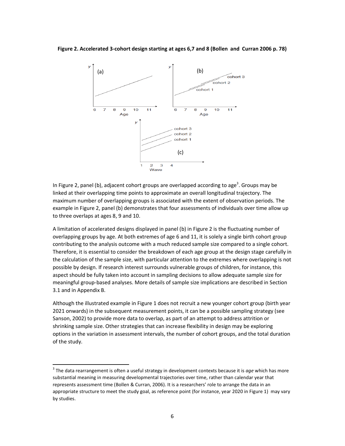**Figure 2. Accelerated 3-cohort design starting at ages 6,7 and 8 (Bollen and Curran 2006 p. 78)** 



In Figure 2, panel (b), adjacent cohort groups are overlapped according to age<sup>3</sup>. Groups may be linked at their overlapping time points to approximate an overall longitudinal trajectory. The maximum number of overlapping groups is associated with the extent of observation periods. The example in Figure 2, panel (b) demonstrates that four assessments of individuals over time allow up to three overlaps at ages 8, 9 and 10.

A limitation of accelerated designs displayed in panel (b) in Figure 2 is the fluctuating number of overlapping groups by age. At both extremes of age 6 and 11, it is solely a single birth cohort group contributing to the analysis outcome with a much reduced sample size compared to a single cohort. Therefore, it is essential to consider the breakdown of each age group at the design stage carefully in the calculation of the sample size, with particular attention to the extremes where overlapping is not possible by design. If research interest surrounds vulnerable groups of children, for instance, this aspect should be fully taken into account in sampling decisions to allow adequate sample size for meaningful group-based analyses. More details of sample size implications are described in Section 3.1 and in Appendix B.

Although the illustrated example in Figure 1 does not recruit a new younger cohort group (birth year 2021 onwards) in the subsequent measurement points, it can be a possible sampling strategy (see Sanson, 2002) to provide more data to overlap, as part of an attempt to address attrition or shrinking sample size. Other strategies that can increase flexibility in design may be exploring options in the variation in assessment intervals, the number of cohort groups, and the total duration of the study.

l,

<sup>3</sup> The data rearrangement is often a useful strategy in development contexts because it is *age* which has more substantial meaning in measuring developmental trajectories over time, rather than calendar year that represents assessment time (Bollen & Curran, 2006). It is a researchers' role to arrange the data in an appropriate structure to meet the study goal, as reference point (for instance, year 2020 in Figure 1) may vary by studies.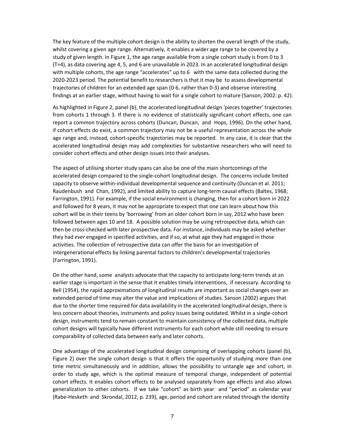The key feature of the multiple cohort design is the ability to shorten the overall length of the study, whilst covering a given age range. Alternatively, it enables a wider age range to be covered by a study of given length. In Figure 1, the age range available from a single cohort study is from 0 to 3 (T=4), as data covering age 4, 5, and 6 are unavailable in 2023. In an accelerated longitudinal design with multiple cohorts, the age range "accelerates" up to 6 with the same data collected during the 2020-2023 period. The potential benefit to researchers is that it may be to assess developmental trajectories of children for an extended age span (0-6, rather than 0-3) and observe interesting findings at an earlier stage, without having to wait for a single cohort to mature (Sanson, 2002: p. 42).

As highlighted in Figure 2, panel (b), the accelerated longitudinal design 'pieces together' trajectories from cohorts 1 through 3. If there is no evidence of statistically significant cohort effects, one can report a common trajectory across cohorts (Duncan, Duncan, and Hops, 1996). On the other hand, if cohort effects do exist, a common trajectory may not be a useful representation across the whole age range and, instead, cohort-specific trajectories may be reported. In any case, it is clear that the accelerated longitudinal design may add complexities for substantive researchers who will need to consider cohort effects and other design issues into their analyses.

The aspect of utilising shorter study spans can also be one of the main shortcomings of the accelerated design compared to the single-cohort longitudinal design. The concerns include limited capacity to observe within-individual developmental sequence and continuity (Duncan et al. 2011; Raudenbush and Chan, 1992), and limited ability to capture long-term causal effects (Baltes, 1968; Farrington, 1991). For example, if the social environment is changing, then for a cohort born in 2022 and followed for 8 years, it may not be appropriate to expect that one can learn about how this cohort will be in their teens by 'borrowing' from an older cohort born in say, 2012 who have been followed between ages 10 and 18. A possible solution may be using retrospective data, which can then be cross-checked with later prospective data. For instance, individuals may be asked whether they had *ever* engaged in specified activities, and if so, at what age they had engaged in those activities. The collection of retrospective data can offer the basis for an investigation of intergenerational effects by linking parental factors to children's developmental trajectories (Farrington, 1991).

On the other hand, some analysts advocate that the capacity to anticipate long-term trends at an earlier stage is important in the sense that it enables timely interventions, if necessary. According to Bell (1954), the rapid approximations of longitudinal results are important as social changes over an extended period of time may alter the value and implications of studies. Sanson (2002) argues that due to the shorter time required for data availability in the accelerated longitudinal design, there is less concern about theories, instruments and policy issues being outdated. Whilst in a single-cohort design, instruments tend to remain constant to maintain consistency of the collected data, multiple cohort designs will typically have different instruments for each cohort while still needing to ensure comparability of collected data between early and later cohorts.

One advantage of the accelerated longitudinal design comprising of overlapping cohorts (panel (b), Figure 2) over the single cohort design is that it offers the opportunity of studying more than one time metric simultaneously and in addition, allows the possibility to untangle age and cohort, in order to study age, which is the optimal measure of temporal change, independent of potential cohort effects. It enables cohort effects to be analysed separately from age effects and also allows generalization to other cohorts. If we take "cohort" as birth year and "period" as calendar year (Rabe-Hesketh and Skrondal, 2012, p. 239), age, period and cohort are related through the identity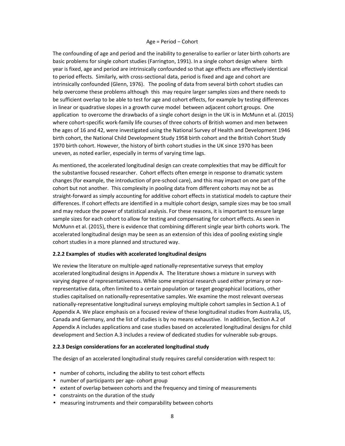#### Age = Period − Cohort

The confounding of age and period and the inability to generalise to earlier or later birth cohorts are basic problems for single cohort studies (Farrington, 1991). In a single cohort design where birth year is fixed, age and period are intrinsically confounded so that age effects are effectively identical to period effects. Similarly, with cross-sectional data, period is fixed and age and cohort are intrinsically confounded (Glenn, 1976). The pooling of data from several birth cohort studies can help overcome these problems although this may require larger samples sizes and there needs to be sufficient overlap to be able to test for age and cohort effects, for example by testing differences in linear or quadrative slopes in a growth curve model between adjacent cohort groups. One application to overcome the drawbacks of a single cohort design in the UK is in McMunn et al. (2015) where cohort-specific work-family life courses of three cohorts of British women and men between the ages of 16 and 42, were investigated using the National Survey of Health and Development 1946 birth cohort, the National Child Development Study 1958 birth cohort and the British Cohort Study 1970 birth cohort. However, the history of birth cohort studies in the UK since 1970 has been uneven, as noted earlier, especially in terms of varying time lags.

As mentioned, the accelerated longitudinal design can create complexities that may be difficult for the substantive focused researcher. Cohort effects often emerge in response to dramatic system changes (for example, the introduction of pre-school care), and this may impact on one part of the cohort but not another. This complexity in pooling data from different cohorts may not be as straight-forward as simply accounting for additive cohort effects in statistical models to capture their differences. If cohort effects are identified in a multiple cohort design, sample sizes may be too small and may reduce the power of statistical analysis. For these reasons, it is important to ensure large sample sizes for each cohort to allow for testing and compensating for cohort effects. As seen in McMunn et al. (2015), there is evidence that combining different single year birth cohorts work. The accelerated longitudinal design may be seen as an extension of this idea of pooling existing single cohort studies in a more planned and structured way.

#### **2.2.2 Examples of studies with accelerated longitudinal designs**

We review the literature on multiple-aged nationally-representative surveys that employ accelerated longitudinal designs in Appendix A. The literature shows a mixture in surveys with varying degree of representativeness. While some empirical research used either primary or nonrepresentative data, often limited to a certain population or target geographical locations, other studies capitalised on nationally-representative samples. We examine the most relevant overseas nationally-representative longitudinal surveys employing multiple cohort samples in Section A.1 of Appendix A. We place emphasis on a focused review of these longitudinal studies from Australia, US, Canada and Germany, and the list of studies is by no means exhaustive. In addition, Section A.2 of Appendix A includes applications and case studies based on accelerated longitudinal designs for child development and Section A.3 includes a review of dedicated studies for vulnerable sub-groups.

#### **2.2.3 Design considerations for an accelerated longitudinal study**

The design of an accelerated longitudinal study requires careful consideration with respect to:

- number of cohorts, including the ability to test cohort effects
- number of participants per age- cohort group
- extent of overlap between cohorts and the frequency and timing of measurements
- constraints on the duration of the study
- measuring instruments and their comparability between cohorts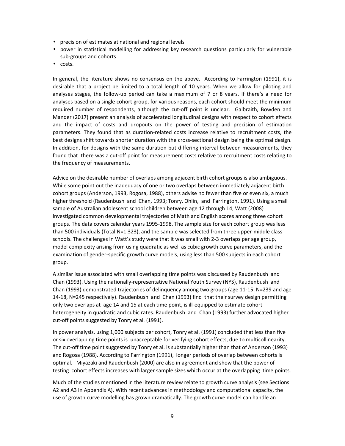- precision of estimates at national and regional levels
- power in statistical modelling for addressing key research questions particularly for vulnerable sub-groups and cohorts
- costs.

In general, the literature shows no consensus on the above. According to Farrington (1991), it is desirable that a project be limited to a total length of 10 years. When we allow for piloting and analyses stages, the follow-up period can take a maximum of 7 or 8 years. If there's a need for analyses based on a single cohort group, for various reasons, each cohort should meet the minimum required number of respondents, although the cut-off point is unclear. Galbraith, Bowden and Mander (2017) present an analysis of accelerated longitudinal designs with respect to cohort effects and the impact of costs and dropouts on the power of testing and precision of estimation parameters. They found that as duration-related costs increase relative to recruitment costs, the best designs shift towards shorter duration with the cross-sectional design being the optimal design. In addition, for designs with the same duration but differing interval between measurements, they found that there was a cut-off point for measurement costs relative to recruitment costs relating to the frequency of measurements.

Advice on the desirable number of overlaps among adjacent birth cohort groups is also ambiguous. While some point out the inadequacy of one or two overlaps between immediately adjacent birth cohort groups (Anderson, 1993, Rogosa, 1988), others advise no fewer than five or even six, a much higher threshold (Raudenbush and Chan, 1993; Tonry, Ohlin, and Farrington, 1991). Using a small sample of Australian adolescent school children between age 12 through 14, Watt (2008) investigated common developmental trajectories of Math and English scores among three cohort groups. The data covers calendar years 1995-1998. The sample size for each cohort group was less than 500 individuals (Total N=1,323), and the sample was selected from three upper-middle class schools. The challenges in Watt's study were that it was small with 2-3 overlaps per age group, model complexity arising from using quadratic as well as cubic growth curve parameters, and the examination of gender-specific growth curve models, using less than 500 subjects in each cohort group.

A similar issue associated with small overlapping time points was discussed by Raudenbush and Chan (1993). Using the nationally-representative National Youth Survey (NYS), Raudenbush and Chan (1993) demonstrated trajectories of delinquency among two groups (age 11-15, N=239 and age 14-18, N=245 respectively). Raudenbush and Chan (1993) find that their survey design permitting only two overlaps at age 14 and 15 at each time point, is ill-equipped to estimate cohort heterogeneity in quadratic and cubic rates. Raudenbush and Chan (1993) further advocated higher cut-off points suggested by Tonry et al. (1991).

In power analysis, using 1,000 subjects per cohort, Tonry et al. (1991) concluded that less than five or six overlapping time points is unacceptable for verifying cohort effects, due to multicollinearity. The cut-off time point suggested by Tonry et al. is substantially higher than that of Anderson (1993) and Rogosa (1988). According to Farrington (1991), longer periods of overlap between cohorts is optimal. Miyazaki and Raudenbush (2000) are also in agreement and show that the power of testing cohort effects increases with larger sample sizes which occur at the overlapping time points.

Much of the studies mentioned in the literature review relate to growth curve analysis (see Sections A2 and A3 in Appendix A). With recent advances in methodology and computational capacity, the use of growth curve modelling has grown dramatically. The growth curve model can handle an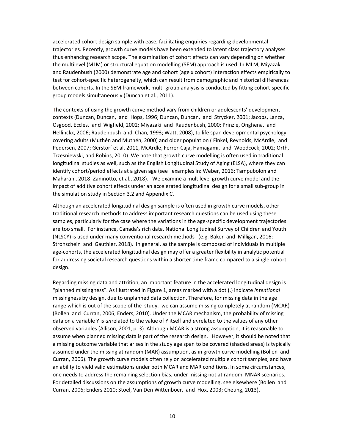accelerated cohort design sample with ease, facilitating enquiries regarding developmental trajectories. Recently, growth curve models have been extended to latent class trajectory analyses thus enhancing research scope. The examination of cohort effects can vary depending on whether the multilevel (MLM) or structural equation modelling (SEM) approach is used. In MLM, Miyazaki and Raudenbush (2000) demonstrate age and cohort (age x cohort) interaction effects empirically to test for cohort-specific heterogeneity, which can result from demographic and historical differences between cohorts. In the SEM framework, multi-group analysis is conducted by fitting cohort-specific group models simultaneously (Duncan et al., 2011).

The contexts of using the growth curve method vary from children or adolescents' development contexts (Duncan, Duncan, and Hops, 1996; Duncan, Duncan, and Strycker, 2001; Jacobs, Lanza, Osgood, Eccles, and Wigfield, 2002; Miyazaki and Raudenbush, 2000; Prinzie, Onghena, and Hellinckx, 2006; Raudenbush and Chan, 1993; Watt, 2008), to life span developmental psychology covering adults (Muthén and Muthén, 2000) and older population ( Finkel, Reynolds, McArdle, and Pedersen, 2007; Gerstorf et al. 2011, McArdle, Ferrer-Caja, Hamagami, and Woodcock, 2002; Orth, Trzesniewski, and Robins, 2010). We note that growth curve modelling is often used in traditional longitudinal studies as well, such as the English Longitudinal Study of Aging (ELSA), where they can identify cohort/period effects at a given age (see examples in: Weber, 2016; Tampubolon and Maharani, 2018; Zaninotto, et al., 2018). We examine a multilevel growth curve model and the impact of additive cohort effects under an accelerated longitudinal design for a small sub-group in the simulation study in Section 3.2 and Appendix C.

Although an accelerated longitudinal design sample is often used in growth curve models, other traditional research methods to address important research questions can be used using these samples, particularly for the case where the variations in the age-specific development trajectories are too small. For instance, Canada's rich data, National Longitudinal Survey of Children and Youth (NLSCY) is used under many conventional research methods (e.g. Baker and Milligan, 2016; Strohschein and Gauthier, 2018). In general, as the sample is composed of individuals in multiple age-cohorts, the accelerated longitudinal design may offer a greater flexibility in analytic potential for addressing societal research questions within a shorter time frame compared to a single cohort design.

Regarding missing data and attrition, an important feature in the accelerated longitudinal design is "planned missingness". As illustrated in Figure 1, areas marked with a dot (.) indicate *intentional*  missingness by design, due to unplanned data collection. Therefore, for missing data in the age range which is out of the scope of the study, we can assume missing completely at random (MCAR) (Bollen and Curran, 2006; Enders, 2010). Under the MCAR mechanism, the probability of missing data on a variable Y is *un*related to the value of Y itself and *un*related to the values of any other observed variables (Allison, 2001, p. 3). Although MCAR is a strong assumption, it is reasonable to assume when planned missing data is part of the research design. However, it should be noted that a missing outcome variable that arises in the study age span to be covered (shaded areas) is typically assumed under the missing at random (MAR) assumption, as in growth curve modelling (Bollen and Curran, 2006). The growth curve models often rely on accelerated multiple cohort samples, and have an ability to yield valid estimations under both MCAR and MAR conditions. In some circumstances, one needs to address the remaining selection bias, under missing not at random MNAR scenarios. For detailed discussions on the assumptions of growth curve modelling, see elsewhere (Bollen and Curran, 2006; Enders 2010; Stoel, Van Den Wittenboer, and Hox, 2003; Cheung, 2013).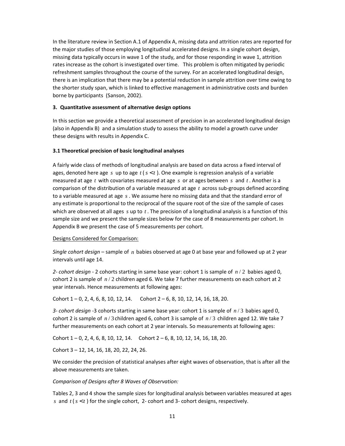In the literature review in Section A.1 of Appendix A, missing data and attrition rates are reported for the major studies of those employing longitudinal accelerated designs. In a single cohort design, missing data typically occurs in wave 1 of the study, and for those responding in wave 1, attrition rates increase as the cohort is investigated over time. This problem is often mitigated by periodic refreshment samples throughout the course of the survey. For an accelerated longitudinal design, there is an implication that there may be a potential reduction in sample attrition over time owing to the shorter study span, which is linked to effective management in administrative costs and burden borne by participants (Sanson, 2002).

#### **3. Quantitative assessment of alternative design options**

In this section we provide a theoretical assessment of precision in an accelerated longitudinal design (also in Appendix B) and a simulation study to assess the ability to model a growth curve under these designs with results in Appendix C.

# **3.1 Theoretical precision of basic longitudinal analyses**

A fairly wide class of methods of longitudinal analysis are based on data across a fixed interval of ages, denoted here age  $s$  up to age  $t(s < t)$ . One example is regression analysis of a variable measured at age *t* with covariates measured at age *s* or at ages between *s* and *t* . Another is a comparison of the distribution of a variable measured at age *t* across sub-groups defined according to a variable measured at age *s* . We assume here no missing data and that the standard error of any estimate is proportional to the reciprocal of the square root of the size of the sample of cases which are observed at all ages *s* up to *t* . The precision of a longitudinal analysis is a function of this sample size and we present the sample sizes below for the case of 8 measurements per cohort. In Appendix B we present the case of 5 measurements per cohort.

#### Designs Considered for Comparison:

*Single cohort design* – sample of *n* babies observed at age 0 at base year and followed up at 2 year intervals until age 14.

*2- cohort design* - 2 cohorts starting in same base year: cohort 1 is sample of *n* / 2 babies aged 0, cohort 2 is sample of *n* / 2 children aged 6. We take 7 further measurements on each cohort at 2 year intervals. Hence measurements at following ages:

Cohort  $1 - 0$ , 2, 4, 6, 8, 10, 12, 14. Cohort  $2 - 6$ , 8, 10, 12, 14, 16, 18, 20.

*3- cohort design -*3 cohorts starting in same base year: cohort 1 is sample of *n* / 3 babies aged 0, cohort 2 is sample of *n* / 3 children aged 6, cohort 3 is sample of *n* / 3 children aged 12. We take 7 further measurements on each cohort at 2 year intervals. So measurements at following ages:

Cohort  $1 - 0$ , 2, 4, 6, 8, 10, 12, 14. Cohort  $2 - 6$ , 8, 10, 12, 14, 16, 18, 20.

Cohort 3 – 12, 14, 16, 18, 20, 22, 24, 26.

We consider the precision of statistical analyses after eight waves of observation, that is after all the above measurements are taken.

#### *Comparison of Designs after 8 Waves of Observation:*

Tables 2, 3 and 4 show the sample sizes for longitudinal analysis between variables measured at ages *s* and  $t$  ( $s$  <  $t$ ) for the single cohort, 2- cohort and 3- cohort designs, respectively.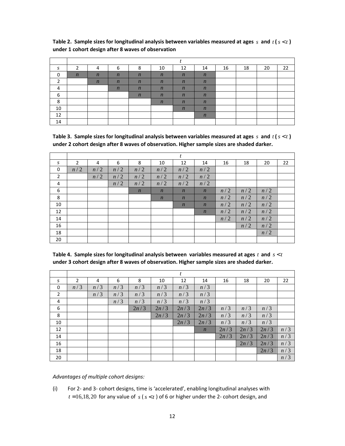| S        | ∍                | 4                | b                | 8                | 10               | 12               | 14               | 16 | 18 | 20 | 22 |
|----------|------------------|------------------|------------------|------------------|------------------|------------------|------------------|----|----|----|----|
| $\Omega$ | $\boldsymbol{n}$ | $\boldsymbol{n}$ | $\boldsymbol{n}$ | $\boldsymbol{n}$ | $\boldsymbol{n}$ | $\boldsymbol{n}$ | $\boldsymbol{n}$ |    |    |    |    |
|          |                  | $\boldsymbol{n}$ | $\boldsymbol{n}$ | $\boldsymbol{n}$ | $\boldsymbol{n}$ | $\boldsymbol{n}$ | $\boldsymbol{n}$ |    |    |    |    |
| 4        |                  |                  | $\boldsymbol{n}$ | $\boldsymbol{n}$ | $\boldsymbol{n}$ | $\boldsymbol{n}$ | $\boldsymbol{n}$ |    |    |    |    |
| 6        |                  |                  |                  | $\boldsymbol{n}$ | $\boldsymbol{n}$ | $\boldsymbol{n}$ | $\boldsymbol{n}$ |    |    |    |    |
| 8        |                  |                  |                  |                  | $\boldsymbol{n}$ | $\boldsymbol{n}$ | $\boldsymbol{n}$ |    |    |    |    |
| 10       |                  |                  |                  |                  |                  | $\boldsymbol{n}$ | $\boldsymbol{n}$ |    |    |    |    |
| 12       |                  |                  |                  |                  |                  |                  | $\boldsymbol{n}$ |    |    |    |    |
| 14       |                  |                  |                  |                  |                  |                  |                  |    |    |    |    |

Table 2. Sample sizes for longitudinal analysis between variables measured at ages  $s$  and  $t$  ( $s$  <  $t$ ) **under 1 cohort design after 8 waves of observation** 

**Table 3. Sample sizes for longitudinal analysis between variables measured at ages** *s* **and** *t* **(***s t* < **) under 2 cohort design after 8 waves of observation. Higher sample sizes are shaded darker.** 

|                  |                |     |     |                  |                  | $\boldsymbol{t}$ |                  |     |     |     |    |
|------------------|----------------|-----|-----|------------------|------------------|------------------|------------------|-----|-----|-----|----|
| $\boldsymbol{S}$ | $\overline{2}$ | 4   | 6   | 8                | 10               | 12               | 14               | 16  | 18  | 20  | 22 |
| $\mathbf 0$      | n/2            | n/2 | n/2 | n/2              | n/2              | n/2              | n/2              |     |     |     |    |
| $\overline{2}$   |                | n/2 | n/2 | n/2              | n/2              | n/2              | n/2              |     |     |     |    |
| 4                |                |     | n/2 | n/2              | n/2              | n/2              | n/2              |     |     |     |    |
| 6                |                |     |     | $\boldsymbol{n}$ | $\boldsymbol{n}$ | $\boldsymbol{n}$ | $\boldsymbol{n}$ | n/2 | n/2 | n/2 |    |
| 8                |                |     |     |                  | $\boldsymbol{n}$ | $\boldsymbol{n}$ | $\boldsymbol{n}$ | n/2 | n/2 | n/2 |    |
| 10               |                |     |     |                  |                  | $\boldsymbol{n}$ | $\boldsymbol{n}$ | n/2 | n/2 | n/2 |    |
| 12               |                |     |     |                  |                  |                  | $\boldsymbol{n}$ | n/2 | n/2 | n/2 |    |
| 14               |                |     |     |                  |                  |                  |                  | n/2 | n/2 | n/2 |    |
| 16               |                |     |     |                  |                  |                  |                  |     | n/2 | n/2 |    |
| 18               |                |     |     |                  |                  |                  |                  |     |     | n/2 |    |
| 20               |                |     |     |                  |                  |                  |                  |     |     |     |    |

| Table 4. Sample sizes for longitudinal analysis between variables measured at ages t and $s < t$ |  |  |  |
|--------------------------------------------------------------------------------------------------|--|--|--|
| under 3 cohort design after 8 waves of observation. Higher sample sizes are shaded darker.       |  |  |  |

|                |     |     |     |      |      | $\boldsymbol{t}$ |                  |      |      |      |     |
|----------------|-----|-----|-----|------|------|------------------|------------------|------|------|------|-----|
| S              | 2   | 4   | 6   | 8    | 10   | 12               | 14               | 16   | 18   | 20   | 22  |
| 0              | n/3 | n/3 | n/3 | n/3  | n/3  | n/3              | n/3              |      |      |      |     |
| $\overline{2}$ |     | n/3 | n/3 | n/3  | n/3  | n/3              | n/3              |      |      |      |     |
| 4              |     |     | n/3 | n/3  | n/3  | n/3              | n/3              |      |      |      |     |
| 6              |     |     |     | 2n/3 | 2n/3 | 2n/3             | 2n/3             | n/3  | n/3  | n/3  |     |
| 8              |     |     |     |      | 2n/3 | 2n/3             | 2n/3             | n/3  | n/3  | n/3  |     |
| 10             |     |     |     |      |      | 2n/3             | 2n/3             | n/3  | n/3  | n/3  |     |
| 12             |     |     |     |      |      |                  | $\boldsymbol{n}$ | 2n/3 | 2n/3 | 2n/3 | n/3 |
| 14             |     |     |     |      |      |                  |                  | 2n/3 | 2n/3 | 2n/3 | n/3 |
| 16             |     |     |     |      |      |                  |                  |      | 2n/3 | 2n/3 | n/3 |
| 18             |     |     |     |      |      |                  |                  |      |      | 2n/3 | n/3 |
| 20             |     |     |     |      |      |                  |                  |      |      |      | n/3 |

*Advantages of multiple cohort designs:* 

(i) For 2- and 3- cohort designs, time is 'accelerated', enabling longitudinal analyses with  $t = 16,18,20$  for any value of  $s$  ( $s < t$ ) of 6 or higher under the 2- cohort design, and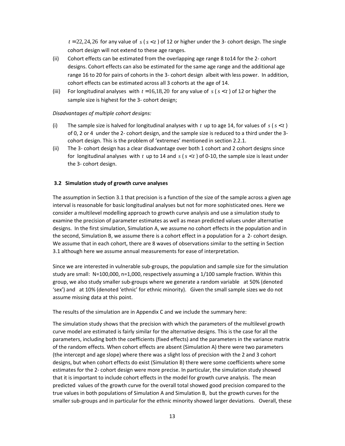$t = 22, 24, 26$  for any value of  $s$  ( $s < t$ ) of 12 or higher under the 3- cohort design. The single cohort design will not extend to these age ranges.

- (ii) Cohort effects can be estimated from the overlapping age range 8 to14 for the 2- cohort designs. Cohort effects can also be estimated for the same age range and the additional age range 16 to 20 for pairs of cohorts in the 3- cohort design albeit with less power. In addition, cohort effects can be estimated across all 3 cohorts at the age of 14.
- (iii) For longitudinal analyses with  $t = 16,18,20$  for any value of  $s$  ( $s < t$ ) of 12 or higher the sample size is highest for the 3- cohort design;

#### *Disadvantages of multiple cohort designs:*

- (i) The sample size is halved for longitudinal analyses with  $t$  up to age 14, for values of  $s$  ( $s < t$ ) of 0, 2 or 4 under the 2- cohort design, and the sample size is reduced to a third under the 3 cohort design. This is the problem of 'extremes' mentioned in section 2.2.1.
- (ii) The 3- cohort design has a clear disadvantage over both 1 cohort and 2 cohort designs since for longitudinal analyses with  $t$  up to 14 and  $s$  ( $s < t$ ) of 0-10, the sample size is least under the 3- cohort design.

#### **3.2 Simulation study of growth curve analyses**

The assumption in Section 3.1 that precision is a function of the size of the sample across a given age interval is reasonable for basic longitudinal analyses but not for more sophisticated ones. Here we consider a multilevel modelling approach to growth curve analysis and use a simulation study to examine the precision of parameter estimates as well as mean predicted values under alternative designs. In the first simulation, Simulation A, we assume no cohort effects in the population and in the second, Simulation B, we assume there is a cohort effect in a population for a 2- cohort design. We assume that in each cohort, there are 8 waves of observations similar to the setting in Section 3.1 although here we assume annual measurements for ease of interpretation.

Since we are interested in vulnerable sub-groups, the population and sample size for the simulation study are small: N=100,000, n=1,000, respectively assuming a 1/100 sample fraction. Within this group, we also study smaller sub-groups where we generate a random variable at 50% (denoted 'sex') and at 10% (denoted 'ethnic' for ethnic minority). Given the small sample sizes we do not assume missing data at this point.

The results of the simulation are in Appendix C and we include the summary here:

The simulation study shows that the precision with which the parameters of the multilevel growth curve model are estimated is fairly similar for the alternative designs. This is the case for all the parameters, including both the coefficients (fixed effects) and the parameters in the variance matrix of the random effects. When cohort effects are absent (Simulation A) there were two parameters (the intercept and age slope) where there was a slight loss of precision with the 2 and 3 cohort designs, but when cohort effects do exist (Simulation B) there were some coefficients where some estimates for the 2- cohort design were more precise. In particular, the simulation study showed that it is important to include cohort effects in the model for growth curve analysis. The mean predicted values of the growth curve for the overall total showed good precision compared to the true values in both populations of Simulation A and Simulation B, but the growth curves for the smaller sub-groups and in particular for the ethnic minority showed larger deviations. Overall, these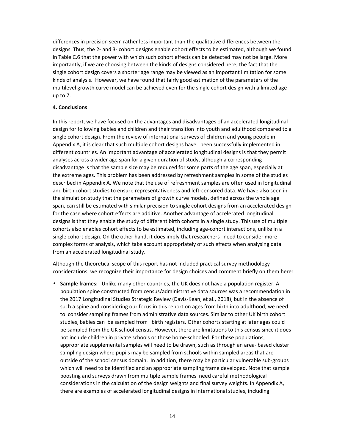differences in precision seem rather less important than the qualitative differences between the designs. Thus, the 2- and 3- cohort designs enable cohort effects to be estimated, although we found in Table C.6 that the power with which such cohort effects can be detected may not be large. More importantly, if we are choosing between the kinds of designs considered here, the fact that the single cohort design covers a shorter age range may be viewed as an important limitation for some kinds of analysis. However, we have found that fairly good estimation of the parameters of the multilevel growth curve model can be achieved even for the single cohort design with a limited age up to 7.

#### **4. Conclusions**

In this report, we have focused on the advantages and disadvantages of an accelerated longitudinal design for following babies and children and their transition into youth and adulthood compared to a single cohort design. From the review of international surveys of children and young people in Appendix A, it is clear that such multiple cohort designs have been successfully implemented in different countries. An important advantage of accelerated longitudinal designs is that they permit analyses across a wider age span for a given duration of study, although a corresponding disadvantage is that the sample size may be reduced for some parts of the age span, especially at the extreme ages. This problem has been addressed by refreshment samples in some of the studies described in Appendix A. We note that the use of refreshment samples are often used in longitudinal and birth cohort studies to ensure representativeness and left-censored data. We have also seen in the simulation study that the parameters of growth curve models, defined across the whole age span, can still be estimated with similar precision to single cohort designs from an accelerated design for the case where cohort effects are additive. Another advantage of accelerated longitudinal designs is that they enable the study of different birth cohorts in a single study. This use of multiple cohorts also enables cohort effects to be estimated, including age-cohort interactions, unlike in a single cohort design. On the other hand, it does imply that researchers need to consider more complex forms of analysis, which take account appropriately of such effects when analysing data from an accelerated longitudinal study.

Although the theoretical scope of this report has not included practical survey methodology considerations, we recognize their importance for design choices and comment briefly on them here:

• **Sample frames:** Unlike many other countries, the UK does not have a population register. A population spine constructed from census/administrative data sources was a recommendation in the 2017 Longitudinal Studies Strategic Review (Davis-Kean, et al., 2018), but in the absence of such a spine and considering our focus in this report on ages from birth into adulthood, we need to consider sampling frames from administrative data sources. Similar to other UK birth cohort studies, babies can be sampled from birth registers. Other cohorts starting at later ages could be sampled from the UK school census. However, there are limitations to this census since it does not include children in private schools or those home-schooled. For these populations, appropriate supplemental samples will need to be drawn, such as through an area- based cluster sampling design where pupils may be sampled from schools within sampled areas that are outside of the school census domain. In addition, there may be particular vulnerable sub-groups which will need to be identified and an appropriate sampling frame developed. Note that sample boosting and surveys drawn from multiple sample frames need careful methodological considerations in the calculation of the design weights and final survey weights. In Appendix A, there are examples of accelerated longitudinal designs in international studies, including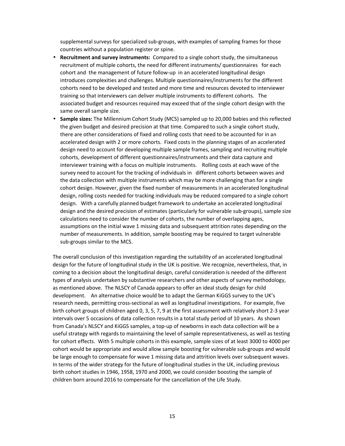supplemental surveys for specialized sub-groups, with examples of sampling frames for those countries without a population register or spine.

- **Recruitment and survey instruments:** Compared to a single cohort study, the simultaneous recruitment of multiple cohorts, the need for different instruments/ questionnaires for each cohort and the management of future follow-up in an accelerated longitudinal design introduces complexities and challenges. Multiple questionnaires/instruments for the different cohorts need to be developed and tested and more time and resources devoted to interviewer training so that interviewers can deliver multiple instruments to different cohorts. The associated budget and resources required may exceed that of the single cohort design with the same overall sample size.
- **Sample sizes:** The Millennium Cohort Study (MCS) sampled up to 20,000 babies and this reflected the given budget and desired precision at that time. Compared to such a single cohort study, there are other considerations of fixed and rolling costs that need to be accounted for in an accelerated design with 2 or more cohorts. Fixed costs in the planning stages of an accelerated design need to account for developing multiple sample frames, sampling and recruiting multiple cohorts, development of different questionnaires/instruments and their data capture and interviewer training with a focus on multiple instruments. Rolling costs at each wave of the survey need to account for the tracking of individuals in different cohorts between waves and the data collection with multiple instruments which may be more challenging than for a single cohort design. However, given the fixed number of measurements in an accelerated longitudinal design, rolling costs needed for tracking individuals may be reduced compared to a single cohort design. With a carefully planned budget framework to undertake an accelerated longitudinal design and the desired precision of estimates (particularly for vulnerable sub-groups), sample size calculations need to consider the number of cohorts, the number of overlapping ages, assumptions on the initial wave 1 missing data and subsequent attrition rates depending on the number of measurements. In addition, sample boosting may be required to target vulnerable sub-groups similar to the MCS.

The overall conclusion of this investigation regarding the suitability of an accelerated longitudinal design for the future of longitudinal study in the UK is positive. We recognize, nevertheless, that, in coming to a decision about the longitudinal design, careful consideration is needed of the different types of analysis undertaken by substantive researchers and other aspects of survey methodology, as mentioned above. The NLSCY of Canada appears to offer an ideal study design for child development. An alternative choice would be to adapt the German KiGGS survey to the UK's research needs, permitting cross-sectional as well as longitudinal investigations. For example, five birth cohort groups of children aged 0, 3, 5, 7, 9 at the first assessment with relatively short 2-3 year intervals over 5 occasions of data collection results in a total study period of 10 years. As shown from Canada's NLSCY and KiGGS samples, a top-up of newborns in each data collection will be a useful strategy with regards to maintaining the level of sample representativeness, as well as testing for cohort effects. With 5 multiple cohorts in this example, sample sizes of at least 3000 to 4000 per cohort would be appropriate and would allow sample boosting for vulnerable sub-groups and would be large enough to compensate for wave 1 missing data and attrition levels over subsequent waves. In terms of the wider strategy for the future of longitudinal studies in the UK, including previous birth cohort studies in 1946, 1958, 1970 and 2000, we could consider boosting the sample of children born around 2016 to compensate for the cancellation of the Life Study.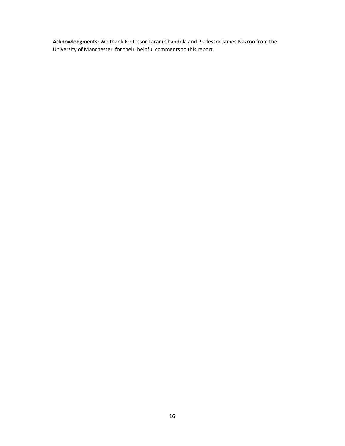**Acknowledgments:** We thank Professor Tarani Chandola and Professor James Nazroo from the University of Manchester for their helpful comments to this report.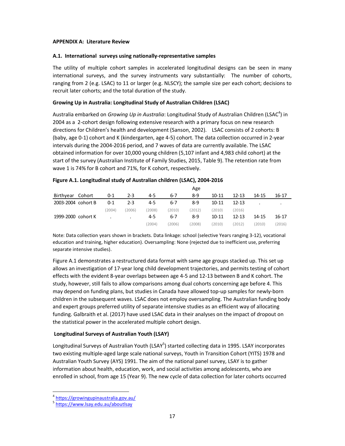#### **APPENDIX A: Literature Review**

#### **A.1. International surveys using nationally-representative samples**

The utility of multiple cohort samples in accelerated longitudinal designs can be seen in many international surveys, and the survey instruments vary substantially: The number of cohorts, ranging from 2 (e.g. LSAC) to 11 or larger (e.g. NLSCY); the sample size per each cohort; decisions to recruit later cohorts; and the total duration of the study.

# **Growing Up in Australia: Longitudinal Study of Australian Children (LSAC)**

Australia embarked on *Growing Up in Australia*: Longitudinal Study of Australian Children (LSAC<sup>4</sup>) in 2004 as a 2-cohort design following extensive research with a primary focus on new research directions for Children's health and development (Sanson, 2002). LSAC consists of 2 cohorts: B (baby, age 0-1) cohort and K (kindergarten, age 4-5) cohort. The data collection occurred in 2-year intervals during the 2004-2016 period, and 7 waves of data are currently available. The LSAC obtained information for over 10,000 young children (5,107 infant and 4,983 child cohort) at the start of the survey (Australian Institute of Family Studies, 2015, Table 9). The retention rate from wave 1 is 74% for B cohort and 71%, for K cohort, respectively.

|                    |        |         |         |       |         | Age     |           |           |           |       |
|--------------------|--------|---------|---------|-------|---------|---------|-----------|-----------|-----------|-------|
| Birthyear          | Cohort | 0-1     | $2 - 3$ | 4-5   | 6-7     | 8-9     | $10 - 11$ | $12 - 13$ | $14 - 15$ | 16-17 |
| 2003-2004 cohort B |        | $0 - 1$ | $2 - 3$ | 4-5   | $6 - 7$ | 8-9     | $10 - 11$ | $12 - 13$ |           | ٠     |
|                    |        | (2004)  | (2006)  | 2008) | (2010)  | (2012)  | (2010)    | (2016)    |           |       |
| 1999-2000 cohort K |        |         | $\cdot$ | 4-5   | $6 - 7$ | $8 - 9$ | $10 - 11$ | $12 - 13$ | $14 - 15$ | 16-17 |
|                    |        |         |         | 2004) | (2006)  | (2008)  | (2010)    | (2012)    | 2010)     | 2016) |

#### **Figure A.1. Longitudinal study of Australian children (LSAC), 2004-2016**

Note: Data collection years shown in brackets. Data linkage: school (selective Years ranging 3-12), vocational education and training, higher education). Oversampling: None (rejected due to inefficient use, preferring separate intensive studies).

Figure A.1 demonstrates a restructured data format with same age groups stacked up. This set up allows an investigation of 17-year long child development trajectories, and permits testing of cohort effects with the evident 8-year overlaps between age 4-5 and 12-13 between B and K cohort. The study, however, still fails to allow comparisons among dual cohorts concerning age before 4. This may depend on funding plans, but studies in Canada have allowed top-up samples for newly-born children in the subsequent waves. LSAC does not employ oversampling. The Australian funding body and expert groups preferred utility of separate intensive studies as an efficient way of allocating funding. Galbraith et al. (2017) have used LSAC data in their analyses on the impact of dropout on the statistical power in the accelerated multiple cohort design.

# **Longitudinal Surveys of Australian Youth (LSAY)**

Longitudinal Surveys of Australian Youth (LSAY<sup>5</sup>) started collecting data in 1995. LSAY incorporates two existing multiple-aged large scale national surveys, Youth in Transition Cohort (YITS) 1978 and Australian Youth Survey (AYS) 1991. The aim of the national panel survey, LSAY is to gather information about health, education, work, and social activities among adolescents, who are enrolled in school, from age 15 (Year 9). The new cycle of data collection for later cohorts occurred

l,

<sup>4</sup> https://growingupinaustralia.gov.au/

<sup>&</sup>lt;sup>5</sup> https://www.lsay.edu.au/aboutlsay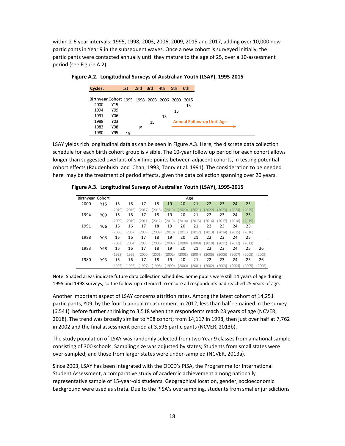within 2-6 year intervals: 1995, 1998, 2003, 2006, 2009, 2015 and 2017, adding over 10,000 new participants in Year 9 in the subsequent waves. Once a new cohort is surveyed initially, the participants were contacted annually until they mature to the age of 25, over a 10-assessment period (see Figure A.2).

| <b>Cycles:</b>                                 |                 | 1st | 2nd 3rd |    | 4th | 5th | 6th |                                   |
|------------------------------------------------|-----------------|-----|---------|----|-----|-----|-----|-----------------------------------|
| Birthyear Cohort 1995 1998 2003 2006 2009 2015 |                 |     |         |    |     |     |     |                                   |
| 2000                                           | Y15             |     |         |    |     |     | 15  |                                   |
| 1994                                           | Y <sub>09</sub> |     |         |    |     | 15  |     |                                   |
| 1991                                           | Y06             |     |         |    | 15  |     |     |                                   |
| 1988                                           | Y03             |     |         | 15 |     |     |     | <b>Annual Follow-up Until Age</b> |
| 1983                                           | Y98             |     | 15      |    |     |     |     |                                   |
| 1980                                           | Y95             | 15  |         |    |     |     |     |                                   |

**Figure A.2. Longitudinal Surveys of Australian Youth (LSAY), 1995-2015** 

LSAY yields rich longitudinal data as can be seen in Figure A.3. Here, the discrete data collection schedule for each birth cohort group is visible. The 10-year follow up period for each cohort allows longer than suggested overlaps of six time points between adjacent cohorts, in testing potential cohort effects (Raudenbush and Chan, 1993, Tonry et al. 1991). The consideration to be needed here may be the treatment of period effects, given the data collection spanning over 20 years.

**Figure A.3. Longitudinal Surveys of Australian Youth (LSAY), 1995-2015** 

| Birthyear Cohort |                 |        |        |        |        |        |        | Age    |        |        |        |        |        |
|------------------|-----------------|--------|--------|--------|--------|--------|--------|--------|--------|--------|--------|--------|--------|
| 2000             | Y15             | 15     | 16     | 17     | 18     | 19     | 20     | 21     | 22     | 23     | 24     | 25     |        |
|                  |                 | (2015) | (2016) | (2017) | 2018   | (2019) | (2020) | (2021) | (2022) | (2023) | (2024) | (2025) |        |
| 1994             | Y <sub>09</sub> | 15     | 16     | 17     | 18     | 19     | 20     | 21     | 22     | 23     | 24     | 25     |        |
|                  |                 | (2009) | (2010) | 2011)  | 2012)  | 2013)  | 2014)  | 2015)  | 2016   | (2017) | (2018) | (2019) |        |
| 1991             | Y06             | 15     | 16     | 17     | 18     | 19     | 20     | 21     | 22     | 23     | 24     | 25     |        |
|                  |                 | (2006) | 2007)  | (2008) | 2009)  | (2010) | 2011)  | 2012   | 2013   | (2014) | (2015) | (2016) |        |
| 1988             | Y03             | 15     | 16     | 17     | 18     | 19     | 20     | 21     | 22     | 23     | 24     | 25     |        |
|                  |                 | (2003) | (2004) | (2005) | 2006   | (2007) | 2008)  | (2009) | (2010) | (2011) | (2012) | (2013) |        |
| 1983             | Y98             | 15     | 16     | 17     | 18     | 19     | 20     | 21     | 22     | 23     | 24     | 25     | 26     |
|                  |                 | (1998) | (1999) | (2000) | 2001   | (2002) | 2003   | (2004) | (2005) | (2006) | (2007) | (2008) | (2009) |
| 1980             | Y95             | 15     | 16     | 17     | 18     | 19     | 20     | 21     | 22     | 23     | 24     | 25     | 26     |
|                  |                 | (1995) | (1996) | (1997) | (1998) | (1999) | 2000)  | (2001) | 2002)  | 2003)  | (2004) | 2005)  | 2006)  |

Note: Shaded areas indicate future data collection schedules. Some pupils were still 14 years of age during 1995 and 1998 surveys, so the follow-up extended to ensure all respondents had reached 25 years of age.

Another important aspect of LSAY concerns attrition rates. Among the latest cohort of 14,251 participants, Y09, by the fourth annual measurement in 2012, less than half remained in the survey (6,541) before further shrinking to 3,518 when the respondents reach 23 years of age (NCVER, 2018). The trend was broadly similar to Y98 cohort; from 14,117 in 1998, then just over half at 7,762 in 2002 and the final assessment period at 3,596 participants (NCVER, 2013b).

The study population of LSAY was randomly selected from two Year 9 classes from a national sample consisting of 300 schools. Sampling size was adjusted by states; Students from small states were over-sampled, and those from larger states were under-sampled (NCVER, 2013a).

Since 2003, LSAY has been integrated with the OECD's PISA, the Programme for International Student Assessment, a comparative study of academic achievement among nationally representative sample of 15-year-old students. Geographical location, gender, socioeconomic background were used as strata. Due to the PISA's oversampling, students from smaller jurisdictions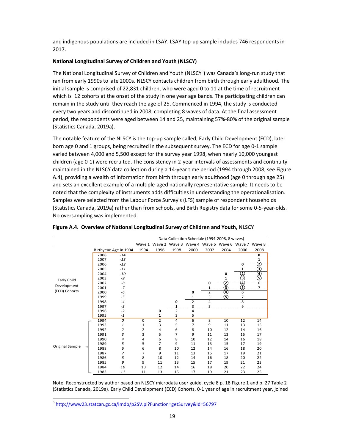and indigenous populations are included in LSAY. LSAY top-up sample includes 746 respondents in 2017.

#### **National Longitudinal Survey of Children and Youth (NLSCY)**

The National Longitudinal Survey of Children and Youth (NLSCY<sup>6</sup>) was Canada's long-run study that ran from early 1990s to late 2000s. NLSCY contacts children from birth through early adulthood. The initial sample is comprised of 22,831 children, who were aged 0 to 11 at the time of recruitment which is 12 cohorts at the onset of the study in one year age bands. The participating children can remain in the study until they reach the age of 25. Commenced in 1994, the study is conducted every two years and discontinued in 2008, completing 8 waves of data. At the final assessment period, the respondents were aged between 14 and 25, maintaining 57%-80% of the original sample (Statistics Canada, 2019a).

The notable feature of the NLSCY is the top-up sample called, Early Child Development (ECD), later born age 0 and 1 groups, being recruited in the subsequent survey. The ECD for age 0-1 sample varied between 4,000 and 5,500 except for the survey year 1998, when nearly 10,000 youngest children (age 0-1) were recruited. The consistency in 2-year intervals of assessments and continuity maintained in the NLSCY data collection during a 14-year time period (1994 through 2008, see Figure A.4), providing a wealth of information from birth through early adulthood (age 0 through age 25) and sets an excellent example of a multiple-aged nationally representative sample. It needs to be noted that the complexity of instruments adds difficulties in understanding the operationalisation. Samples were selected from the Labour Force Survey's (LFS) sample of respondent households (Statistics Canada, 2019a) rather than from schools, and Birth Registry data for some 0-5-year-olds. No oversampling was implemented.

|                 | Data Collection Schedule (1994-2008, 8 waves) |                       |        |                |                |                |      |                                           |                |                |
|-----------------|-----------------------------------------------|-----------------------|--------|----------------|----------------|----------------|------|-------------------------------------------|----------------|----------------|
|                 |                                               |                       | Wave 1 |                |                |                |      | Wave 2 Wave 3 Wave 4 Wave 5 Wave 6 Wave 7 |                | Wave 8         |
|                 |                                               | Birthyear Age in 1994 | 1994   | 1996           | 1998           | 2000           | 2002 | 2004                                      | 2006           | 2008           |
|                 | 2008                                          | $-14$                 |        |                |                |                |      |                                           |                | 0              |
|                 | 2007                                          | $-13$                 |        |                |                |                |      |                                           |                | 1              |
|                 | 2006                                          | $-12$                 |        |                |                |                |      |                                           | 0              |                |
|                 | 2005                                          | $-11$                 |        |                |                |                |      |                                           | 1              |                |
|                 | 2004                                          | $-10$                 |        |                |                |                |      | 0                                         |                |                |
| Early Child     | 2003                                          | -9                    |        |                |                |                |      | 1                                         | ©@@            | ②<br>④④        |
|                 | 2002                                          | -8                    |        |                |                |                | 0    |                                           |                | $\overline{6}$ |
| Development     | 2001                                          | $-7$                  |        |                |                |                | 1    | ②<br>④                                    |                | $\overline{7}$ |
| (ECD) Cohorts   | 2000                                          | -6                    |        |                |                | 0              | 2    |                                           | 6              |                |
|                 | 1999                                          | $-5$                  |        |                |                | 1              | 3    | $\circleds$                               | 7              |                |
|                 | 1998                                          | $-4$                  |        |                | 0              | $\overline{2}$ | 4    |                                           | $\overline{8}$ |                |
|                 | 1997                                          | $-3$                  |        |                | 1              | 3              | 5    |                                           | 9              |                |
|                 | 1996                                          | $-2$                  |        | 0              | $\overline{2}$ | 4              |      |                                           |                |                |
|                 | 1995                                          | $-1$                  |        | 1              | 3              | 5              |      |                                           |                |                |
|                 | 1994                                          | 0                     | 0      | $\overline{2}$ | 4              | 6              | 8    | 10                                        | 12             | 14             |
|                 | 1993                                          | 1                     | 1      | 3              | 5              | 7              | 9    | 11                                        | 13             | 15             |
|                 | 1992                                          | 2                     | 2      | 4              | 6              | 8              | 10   | 12                                        | 14             | 16             |
|                 | 1991                                          | 3                     | 3      | 5              | 7              | 9              | 11   | 13                                        | 15             | 17             |
|                 | 1990                                          | 4                     | 4      | 6              | 8              | 10             | 12   | 14                                        | 16             | 18             |
| Original Sample | 1989                                          | 5                     | 5      | 7              | 9              | 11             | 13   | 15                                        | 17             | 19             |
|                 | 1988                                          | 6                     | 6      | 8              | 10             | 12             | 14   | 16                                        | 18             | 20             |
|                 | 1987                                          | 7                     | 7      | 9              | 11             | 13             | 15   | 17                                        | 19             | 21             |
|                 | 1986                                          | 8                     | 8      | 10             | 12             | 14             | 16   | 18                                        | 20             | 22             |
|                 | 1985                                          | 9                     | 9      | 11             | 13             | 15             | 17   | 19                                        | 21             | 23             |
|                 | 1984                                          | 10                    | 10     | 12             | 14             | 16             | 18   | 20                                        | 22             | 24             |
|                 | 1983                                          | 11                    | 11     | 13             | 15             | 17             | 19   | 21                                        | 23             | 25             |

**Figure A.4. Overview of National Longitudinal Survey of Children and Youth, NLSCY** 

Note: Reconstructed by author based on NLSCY microdata user guide, cycle 8 p. 18 Figure 1 and p. 27 Table 2 (Statistics Canada, 2019a). Early Child Development (ECD) Cohorts, 0-1 year of age in recruitment year, joined

1

<sup>6</sup> http://www23.statcan.gc.ca/imdb/p2SV.pl?Function=getSurvey&Id=56797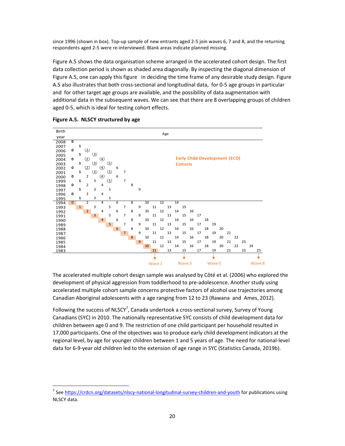since 1996 (shown in box). Top-up sample of new entrants aged 2-5 join waves 6, 7 and 8, and the returning respondents aged 2-5 were re-interviewed. Blank areas indicate planned missing.

Figure A.5 shows the data organisation scheme arranged in the accelerated cohort design. The first data collection period is shown as shaded area diagonally. By inspecting the diagonal dimension of Figure A.5, one can apply this figure in deciding the time frame of any desirable study design. Figure A.5 also illustrates that both cross-sectional and longitudinal data, for 0-5 age groups in particular and for other target age groups are available, and the possibility of data augmentation with additional data in the subsequent waves. We can see that there are 8 overlapping groups of children aged 0-5, which is ideal for testing cohort effects.



**Figure A.5. NLSCY structured by age** 

l,

The accelerated multiple cohort design sample was analysed by Côté et al. (2006) who explored the development of physical aggression from toddlerhood to pre-adolescence. Another study using accelerated multiple cohort sample concerns protective factors of alcohol use trajectories among Canadian Aboriginal adolescents with a age ranging from 12 to 23 (Rawana and Ames, 2012).

Following the success of NLSCY<sup>7</sup>, Canada undertook a cross-sectional survey, Survey of Young Canadians (SYC) in 2010. The nationally representative SYC consists of child development data for children between age 0 and 9. The restriction of one child participant per household resulted in 17,000 participants. One of the objectives was to produce early child development indicators at the regional level, by age for younger children between 1 and 5 years of age. The need for national-level data for 6-9-year old children led to the extension of age range in SYC (Statistics Canada, 2019b).

<sup>&</sup>lt;sup>7</sup> See https://crdcn.org/datasets/nlscy-national-longitudinal-survey-children-and-youth for publications using NLSCY data.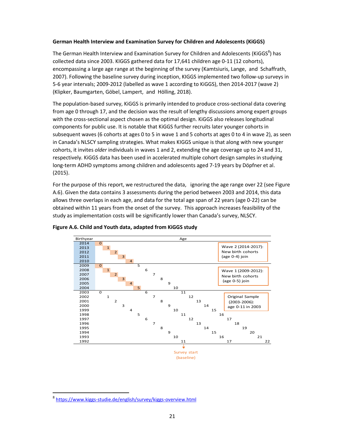#### **German Health Interview and Examination Survey for Children and Adolescents (KiGGS)**

The German Health Interview and Examination Survey for Children and Adolescents (KiGGS<sup>8</sup>) has collected data since 2003. KIGGS gathered data for 17,641 children age 0-11 (12 cohorts), encompassing a large age range at the beginning of the survey (Kamtsiuris, Lange, and Schaffrath, 2007). Following the baseline survey during inception, KIGGS implemented two follow-up surveys in 5-6 year intervals; 2009-2012 (labelled as wave 1 according to KiGGS), then 2014-2017 (wave 2) (Klipker, Baumgarten, Göbel, Lampert, and Hölling, 2018).

The population-based survey, KiGGS is primarily intended to produce cross-sectional data covering from age 0 through 17, and the decision was the result of lengthy discussions among expert groups with the cross-sectional aspect chosen as the optimal design. KiGGS also releases longitudinal components for public use. It is notable that KiGGS further recruits later younger cohorts in subsequent waves (6 cohorts at ages 0 to 5 in wave 1 and 5 cohorts at ages 0 to 4 in wave 2), as seen in Canada's NLSCY sampling strategies. What makes KIGGS unique is that along with new younger cohorts, it invites *older* individuals in waves 1 and 2, extending the age coverage up to 24 and 31, respectively. KiGGS data has been used in accelerated multiple cohort design samples in studying long-term ADHD symptoms among children and adolescents aged 7-19 years by Döpfner et al. (2015).

For the purpose of this report, we restructured the data, ignoring the age range over 22 (see Figure A.6). Given the data contains 3 assessments during the period between 2003 and 2014, this data allows three overlaps in each age, and data for the total age span of 22 years (age 0-22) can be obtained within 11 years from the onset of the survey. This approach increases feasibility of the study as implementation costs will be significantly lower than Canada's survey, NLSCY.





l,

<sup>&</sup>lt;sup>8</sup> https://www.kiggs-studie.de/english/survey/kiggs-overview.html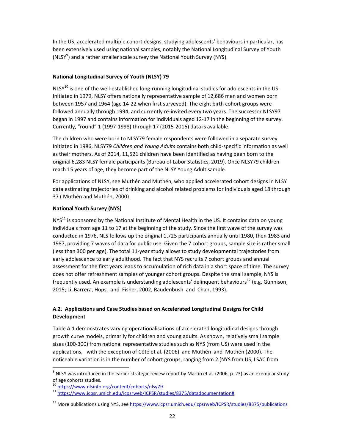In the US, accelerated multiple cohort designs, studying adolescents' behaviours in particular, has been extensively used using national samples, notably the National Longitudinal Survey of Youth (NLSY<sup>9</sup>) and a rather smaller scale survey the National Youth Survey (NYS).

# **National Longitudinal Survey of Youth (NLSY) 79**

NLSY<sup>10</sup> is one of the well-established long-running longitudinal studies for adolescents in the US. Initiated in 1979, NLSY offers nationally representative sample of 12,686 men and women born between 1957 and 1964 (age 14-22 when first surveyed). The eight birth cohort groups were followed annually through 1994, and currently re-invited every two years. The successor NLSY97 began in 1997 and contains information for individuals aged 12-17 in the beginning of the survey. Currently, "round" 1 (1997-1998) through 17 (2015-2016) data is available.

The children who were born to NLSY79 female respondents were followed in a separate survey. Initiated in 1986, NLSY79 *Children and Young Adults* contains both child-specific information as well as their mothers. As of 2014, 11,521 children have been identified as having been born to the original 6,283 NLSY female participants (Bureau of Labor Statistics, 2019). Once NLSY79 children reach 15 years of age, they become part of the NLSY Young Adult sample.

For applications of NLSY, see Muthén and Muthén, who applied accelerated cohort designs in NLSY data estimating trajectories of drinking and alcohol related problems for individuals aged 18 through 37 ( Muthén and Muthén, 2000).

# **National Youth Survey (NYS)**

 $NYS<sup>11</sup>$  is sponsored by the National Institute of Mental Health in the US. It contains data on young individuals from age 11 to 17 at the beginning of the study. Since the first wave of the survey was conducted in 1976, NLS follows up the original 1,725 participants annually until 1980, then 1983 and 1987, providing 7 waves of data for public use. Given the 7 cohort groups, sample size is rather small (less than 300 per age). The total 11-year study allows to study developmental trajectories from early adolescence to early adulthood. The fact that NYS recruits 7 cohort groups and annual assessment for the first years leads to accumulation of rich data in a short space of time. The survey does not offer refreshment samples of younger cohort groups. Despite the small sample, NYS is frequently used. An example is understanding adolescents' delinquent behaviours<sup>12</sup> (e.g. Gunnison, 2015; Li, Barrera, Hops, and Fisher, 2002; Raudenbush and Chan, 1993).

# **A.2. Applications and Case Studies based on Accelerated Longitudinal Designs for Child Development**

Table A.1 demonstrates varying operationalisations of accelerated longitudinal designs through growth curve models, primarily for children and young adults. As shown, relatively small sample sizes (100-300) from national representative studies such as NYS (from US) were used in the applications, with the exception of Côté et al. (2006) and Muthén and Muthén (2000). The noticeable variation is in the number of cohort groups, ranging from 2 (NYS from US, LSAC from

<sup>10</sup> https://www.nlsinfo.org/content/cohorts/nlsy79

l,

 $^9$  NLSY was introduced in the earlier strategic review report by Martin et al. (2006, p. 23) as an exemplar study of age cohorts studies.

<sup>11</sup> https://www.icpsr.umich.edu/icpsrweb/ICPSR/studies/8375/datadocumentation#

 $12$  More publications using NYS, see https://www.icpsr.umich.edu/icpsrweb/ICPSR/studies/8375/publications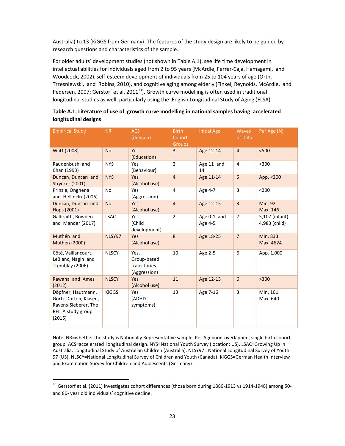Australia) to 13 (KiGGS from Germany). The features of the study design are likely to be guided by research questions and characteristics of the sample.

For older adults' development studies (not shown in Table A.1), see life time development in intellectual abilities for individuals aged from 2 to 95 years (McArdle, Ferrer-Caja, Hamagami, and Woodcock, 2002), self-esteem development of individuals from 25 to 104 years of age (Orth, Trzesniewski, and Robins, 2010), and cognitive aging among elderly (Finkel, Reynolds, McArdle, and Pedersen, 2007; Gerstorf et al. 2011 $^{13}$ ). Growth curve modelling is often used in traditional longitudinal studies as well, particularly using the English Longitudinal Study of Aging (ELSA).

| <b>Empirical Study</b>                                                                             | <b>NR</b>    | <b>ACS</b><br>(domain)                              | <b>Birth</b><br>Cohort<br><b>Groups</b> | <b>Initial Age</b>     | <b>Waves</b><br>of Data | Per Age (N)                     |
|----------------------------------------------------------------------------------------------------|--------------|-----------------------------------------------------|-----------------------------------------|------------------------|-------------------------|---------------------------------|
| Watt (2008)                                                                                        | <b>No</b>    | Yes<br>(Education)                                  | 3                                       | Age 12-14              | $\overline{4}$          | $<$ 500                         |
| Raudenbush and<br>Chan (1993)                                                                      | <b>NYS</b>   | Yes<br>(Behaviour)                                  | $\overline{2}$                          | Age 11 and<br>14       | 4                       | $300$                           |
| Duncan, Duncan and<br>Strycker (2001)                                                              | <b>NYS</b>   | Yes<br>(Alcohol use)                                | $\overline{4}$                          | Age 11-14              | 5                       | App. <200                       |
| Prinzie, Onghena<br>and Hellinckx (2006)                                                           | <b>No</b>    | Yes<br>(Aggression)                                 | 4                                       | Age 4-7                | 3                       | < 200                           |
| Duncan, Duncan and<br>Hops (2001)                                                                  | <b>No</b>    | Yes<br>(Alcohol use)                                | $\overline{4}$                          | Age 12-15              | $\overline{3}$          | <b>Min. 92</b><br>Max. 146      |
| Galbraith, Bowden<br>and Mander (2017)                                                             | <b>LSAC</b>  | Yes<br>(Child<br>development)                       | $\overline{2}$                          | Age 0-1 and<br>Age 4-5 | $\overline{7}$          | 5,107 (infant)<br>4,983 (child) |
| Muthén and<br>Muthén (2000)                                                                        | NLSY97       | Yes<br>(Alcohol use)                                | 8                                       | Age 18-25              | $\overline{7}$          | Min. 833<br>Max. 4624           |
| Côté, Vaillancourt,<br>LeBlanc, Nagin and<br>Tremblay (2006)                                       | <b>NLSCY</b> | Yes,<br>Group-based<br>trajectories<br>(Aggression) | 10                                      | Age 2-5                | 6                       | App. 1,000                      |
| Rawana and Ames<br>(2012)                                                                          | <b>NLSCY</b> | Yes<br>(Alcohol use)                                | 11                                      | Age 12-13              | $6\phantom{1}$          | >300                            |
| Döpfner, Hautmann,<br>Görtz-Dorten, Klasen,<br>Ravens-Sieberer, The<br>BELLA study group<br>(2015) | <b>KiGGS</b> | Yes<br>(ADHD<br>symptoms)                           | 13                                      | Age 7-16               | 3                       | Min. 101<br>Max. 640            |

# **Table A.1. Literature of use of growth curve modelling in national samples having accelerated longitudinal designs**

Note: NR=whether the study is Nationally Representative sample. Per Age=non-overlapped, single birth cohort group. ACS=accelerated longitudinal design. NYS=National Youth Survey (location: US), LSAC=Growing Up in Australia: Longitudinal Study of Australian Children (Australia). NLSY97= National Longitudinal Survey of Youth 97 (US). NLSCY=National Longitudinal Survey of Children and Youth (Canada). KiGGS=German Health Interview and Examination Survey for Children and Adolescents (Germany)

1

<sup>&</sup>lt;sup>13</sup> Gerstorf et al. (2011) investigates cohort differences (those born during 1886-1913 vs 1914-1948) among 50and 80- year old individuals' cognitive decline.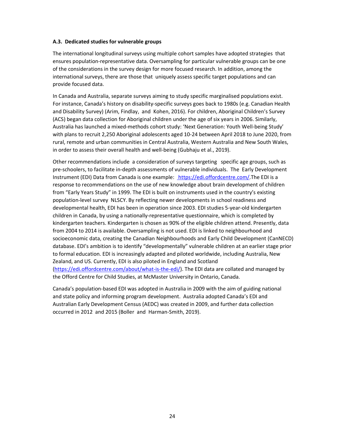#### **A.3. Dedicated studies for vulnerable groups**

The international longitudinal surveys using multiple cohort samples have adopted strategies that ensures population-representative data. Oversampling for particular vulnerable groups can be one of the considerations in the survey design for more focused research. In addition, among the international surveys, there are those that uniquely assess specific target populations and can provide focused data.

In Canada and Australia, separate surveys aiming to study specific marginalised populations exist. For instance, Canada's history on disability-specific surveys goes back to 1980s (e.g. Canadian Health and Disability Survey) (Arim, Findlay, and Kohen, 2016). For children, Aboriginal Children's Survey (ACS) began data collection for Aboriginal children under the age of six years in 2006. Similarly, Australia has launched a mixed-methods cohort study: 'Next Generation: Youth Well-being Study' with plans to recruit 2,250 Aboriginal adolescents aged 10-24 between April 2018 to June 2020, from rural, remote and urban communities in Central Australia, Western Australia and New South Wales, in order to assess their overall health and well-being (Gubhaju et al., 2019).

Other recommendations include a consideration of surveys targeting specific age groups, such as pre-schoolers, to facilitate in-depth assessments of vulnerable individuals. The Early Development Instrument (EDI) Data from Canada is one example: https://edi.offordcentre.com/.The EDI is a response to recommendations on the use of new knowledge about brain development of children from "Early Years Study" in 1999. The EDI is built on instruments used in the country's existing population-level survey NLSCY. By reflecting newer developments in school readiness and developmental health, EDI has been in operation since 2003. EDI studies 5-year-old kindergarten children in Canada, by using a nationally-representative questionnaire, which is completed by kindergarten teachers. Kindergarten is chosen as 90% of the eligible children attend. Presently, data from 2004 to 2014 is available. Oversampling is not used. EDI is linked to neighbourhood and socioeconomic data, creating the Canadian Neighbourhoods and Early Child Development (CanNECD) database. EDI's ambition is to identify "developmentally" vulnerable children at an earlier stage prior to formal education. EDI is increasingly adapted and piloted worldwide, including Australia, New Zealand, and US. Currently, EDI is also piloted in England and Scotland (https://edi.offordcentre.com/about/what-is-the-edi/). The EDI data are collated and managed by the Offord Centre for Child Studies, at McMaster University in Ontario, Canada.

Canada's population-based EDI was adopted in Australia in 2009 with the aim of guiding national and state policy and informing program development. Australia adopted Canada's EDI and Australian Early Development Census (AEDC) was created in 2009, and further data collection occurred in 2012 and 2015 (Boller and Harman-Smith, 2019).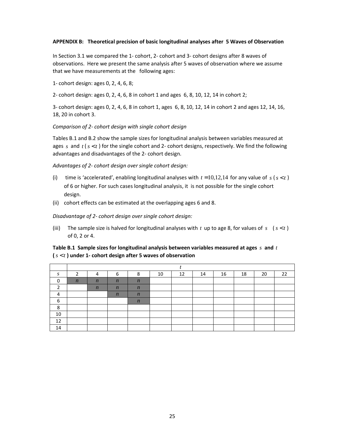#### **APPENDIX B: Theoretical precision of basic longitudinal analyses after 5 Waves of Observation**

In Section 3.1 we compared the 1- cohort, 2- cohort and 3- cohort designs after 8 waves of observations. Here we present the same analysis after 5 waves of observation where we assume that we have measurements at the following ages:

1- cohort design: ages 0, 2, 4, 6, 8;

2- cohort design: ages 0, 2, 4, 6, 8 in cohort 1 and ages 6, 8, 10, 12, 14 in cohort 2;

3- cohort design: ages 0, 2, 4, 6, 8 in cohort 1, ages 6, 8, 10, 12, 14 in cohort 2 and ages 12, 14, 16, 18, 20 in cohort 3.

*Comparison of 2- cohort design with single cohort design* 

Tables B.1 and B.2 show the sample sizes for longitudinal analysis between variables measured at ages *s* and  $t$  ( $s$  < t) for the single cohort and 2- cohort designs, respectively. We find the following advantages and disadvantages of the 2- cohort design.

*Advantages of 2- cohort design over single cohort design:* 

- (i) time is 'accelerated', enabling longitudinal analyses with  $t = 10,12,14$  for any value of  $s$  ( $s < t$ ) of 6 or higher. For such cases longitudinal analysis, it is not possible for the single cohort design.
- (ii) cohort effects can be estimated at the overlapping ages 6 and 8.

*Disadvantage of 2- cohort design over single cohort design:* 

(iii) The sample size is halved for longitudinal analyses with  $t$  up to age 8, for values of  $s$  ( $s < t$ ) of 0, 2 or 4.

| Table B.1 Sample sizes for longitudinal analysis between variables measured at ages $s$ and $t$ |  |
|-------------------------------------------------------------------------------------------------|--|
| $(s < t)$ under 1- cohort design after 5 waves of observation                                   |  |

| S        | 2                |                  | 6                | o<br>Λ           | 10 | 12 | 14 | 16 | 18 | 20 | 22 |
|----------|------------------|------------------|------------------|------------------|----|----|----|----|----|----|----|
| $\Omega$ | $\boldsymbol{n}$ | $\boldsymbol{n}$ | $\boldsymbol{n}$ | $\boldsymbol{n}$ |    |    |    |    |    |    |    |
| ∍        |                  | $\boldsymbol{n}$ | $\boldsymbol{n}$ | $\boldsymbol{n}$ |    |    |    |    |    |    |    |
| 4        |                  |                  | $\boldsymbol{n}$ | $\boldsymbol{n}$ |    |    |    |    |    |    |    |
| 6        |                  |                  |                  | $\boldsymbol{n}$ |    |    |    |    |    |    |    |
| 8        |                  |                  |                  |                  |    |    |    |    |    |    |    |
| 10       |                  |                  |                  |                  |    |    |    |    |    |    |    |
| 12       |                  |                  |                  |                  |    |    |    |    |    |    |    |
| 14       |                  |                  |                  |                  |    |    |    |    |    |    |    |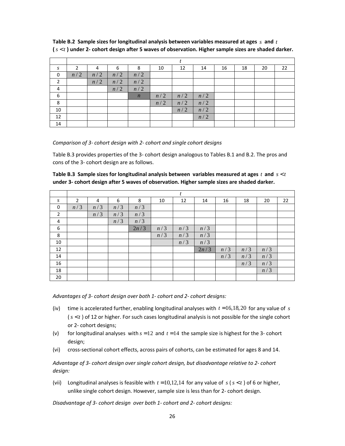| S                        | 2   | 4   | 6   | 8                | 10  | 12  | 14  | 16 | 18 | 20 | 22 |
|--------------------------|-----|-----|-----|------------------|-----|-----|-----|----|----|----|----|
| 0                        | n/2 | n/2 | n/2 | n/2              |     |     |     |    |    |    |    |
| $\overline{\phantom{a}}$ |     | n/2 | n/2 | n/2              |     |     |     |    |    |    |    |
| 4                        |     |     | n/2 | n/2              |     |     |     |    |    |    |    |
| 6                        |     |     |     | $\boldsymbol{n}$ | n/2 | n/2 | n/2 |    |    |    |    |
| 8                        |     |     |     |                  | n/2 | n/2 | n/2 |    |    |    |    |
| 10                       |     |     |     |                  |     | n/2 | n/2 |    |    |    |    |
| 12                       |     |     |     |                  |     |     | n/2 |    |    |    |    |
| 14                       |     |     |     |                  |     |     |     |    |    |    |    |

**Table B.2 Sample sizes for longitudinal analysis between variables measured at ages** *s* **and** *t* **(** *s t* < **) under 2- cohort design after 5 waves of observation. Higher sample sizes are shaded darker.** 

*Comparison of 3- cohort design with 2- cohort and single cohort designs* 

Table B.3 provides properties of the 3- cohort design analogous to Tables B.1 and B.2. The pros and cons of the 3- cohort design are as follows.

| Table B.3 Sample sizes for longitudinal analysis between variables measured at ages t and $s < t$ |  |
|---------------------------------------------------------------------------------------------------|--|
| under 3- cohort design after 5 waves of observation. Higher sample sizes are shaded darker.       |  |

|                |                |     |     |      |     | t   |      |     |     |     |    |
|----------------|----------------|-----|-----|------|-----|-----|------|-----|-----|-----|----|
| S              | $\overline{2}$ | 4   | 6   | 8    | 10  | 12  | 14   | 16  | 18  | 20  | 22 |
| 0              | n/3            | n/3 | n/3 | n/3  |     |     |      |     |     |     |    |
| $\overline{2}$ |                | n/3 | n/3 | n/3  |     |     |      |     |     |     |    |
| 4              |                |     | n/3 | n/3  |     |     |      |     |     |     |    |
| 6              |                |     |     | 2n/3 | n/3 | n/3 | n/3  |     |     |     |    |
| 8              |                |     |     |      | n/3 | n/3 | n/3  |     |     |     |    |
| 10             |                |     |     |      |     | n/3 | n/3  |     |     |     |    |
| 12             |                |     |     |      |     |     | 2n/3 | n/3 | n/3 | n/3 |    |
| 14             |                |     |     |      |     |     |      | n/3 | n/3 | n/3 |    |
| 16             |                |     |     |      |     |     |      |     | n/3 | n/3 |    |
| 18             |                |     |     |      |     |     |      |     |     | n/3 |    |
| 20             |                |     |     |      |     |     |      |     |     |     |    |

*Advantages of 3- cohort design over both 1- cohort and 2- cohort designs:* 

- (iv) time is accelerated further, enabling longitudinal analyses with  $t = 16,18,20$  for any value of *s* ( $s < t$ ) of 12 or higher. For such cases longitudinal analysis is not possible for the single cohort or 2- cohort designs;
- (v) for longitudinal analyses with  $s = 12$  and  $t = 14$  the sample size is highest for the 3- cohort design;
- (vi) cross-sectional cohort effects, across pairs of cohorts, can be estimated for ages 8 and 14.

*Advantage of 3- cohort design over single cohort design, but disadvantage relative to 2- cohort design:* 

(vii) Longitudinal analyses is feasible with  $t = 10,12,14$  for any value of  $s$  ( $s < t$ ) of 6 or higher, unlike single cohort design. However, sample size is less than for 2- cohort design.

*Disadvantage of 3- cohort design over both 1- cohort and 2- cohort designs:*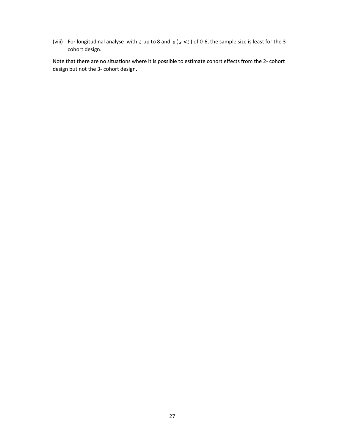(viii) For longitudinal analyse with  $t$  up to 8 and  $s$  ( $s < t$ ) of 0-6, the sample size is least for the 3cohort design.

Note that there are no situations where it is possible to estimate cohort effects from the 2- cohort design but not the 3- cohort design.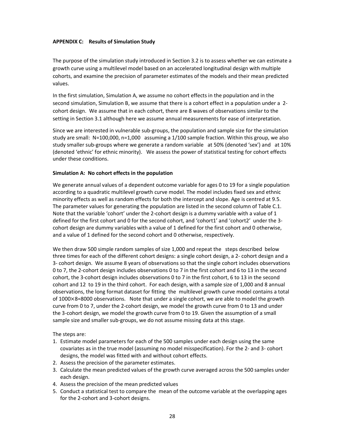#### **APPENDIX C: Results of Simulation Study**

The purpose of the simulation study introduced in Section 3.2 is to assess whether we can estimate a growth curve using a multilevel model based on an accelerated longitudinal design with multiple cohorts, and examine the precision of parameter estimates of the models and their mean predicted values.

In the first simulation, Simulation A, we assume no cohort effects in the population and in the second simulation, Simulation B, we assume that there is a cohort effect in a population under a 2 cohort design. We assume that in each cohort, there are 8 waves of observations similar to the setting in Section 3.1 although here we assume annual measurements for ease of interpretation.

Since we are interested in vulnerable sub-groups, the population and sample size for the simulation study are small: N=100,000, n=1,000 assuming a 1/100 sample fraction. Within this group, we also study smaller sub-groups where we generate a random variable at 50% (denoted 'sex') and at 10% (denoted 'ethnic' for ethnic minority). We assess the power of statistical testing for cohort effects under these conditions.

#### **Simulation A: No cohort effects in the population**

We generate annual values of a dependent outcome variable for ages 0 to 19 for a single population according to a quadratic multilevel growth curve model. The model includes fixed sex and ethnic minority effects as well as random effects for both the intercept and slope. Age is centred at 9.5. The parameter values for generating the population are listed in the second column of Table C.1. Note that the variable 'cohort' under the 2-cohort design is a dummy variable with a value of 1 defined for the first cohort and 0 for the second cohort, and 'cohort1' and 'cohort2' under the 3 cohort design are dummy variables with a value of 1 defined for the first cohort and 0 otherwise, and a value of 1 defined for the second cohort and 0 otherwise, respectively.

We then draw 500 simple random samples of size 1,000 and repeat the steps described below three times for each of the different cohort designs: a single cohort design, a 2- cohort design and a 3- cohort design. We assume 8 years of observations so that the single cohort includes observations 0 to 7, the 2-cohort design includes observations 0 to 7 in the first cohort and 6 to 13 in the second cohort, the 3-cohort design includes observations 0 to 7 in the first cohort, 6 to 13 in the second cohort and 12 to 19 in the third cohort. For each design, with a sample size of 1,000 and 8 annual observations, the long format dataset for fitting the multilevel growth curve model contains a total of 1000×8=8000 observations. Note that under a single cohort, we are able to model the growth curve from 0 to 7, under the 2-cohort design, we model the growth curve from 0 to 13 and under the 3-cohort design, we model the growth curve from 0 to 19. Given the assumption of a small sample size and smaller sub-groups, we do not assume missing data at this stage.

The steps are:

- 1. Estimate model parameters for each of the 500 samples under each design using the same covariates as in the true model (assuming no model misspecification). For the 2- and 3- cohort designs, the model was fitted with and without cohort effects.
- 2. Assess the precision of the parameter estimates.
- 3. Calculate the mean predicted values of the growth curve averaged across the 500 samples under each design.
- 4. Assess the precision of the mean predicted values
- 5. Conduct a statistical test to compare the mean of the outcome variable at the overlapping ages for the 2-cohort and 3-cohort designs.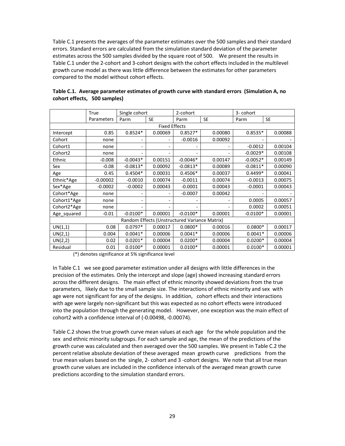Table C.1 presents the averages of the parameter estimates over the 500 samples and their standard errors. Standard errors are calculated from the simulation standard deviation of the parameter estimates across the 500 samples divided by the square root of 500. We present the results in Table C.1 under the 2-cohort and 3-cohort designs with the cohort effects included in the multilevel growth curve model as there was little difference between the estimates for other parameters compared to the model without cohort effects.

|             | True       | Single cohort |                              | 2-cohort                                      |           | 3- cohort  |           |
|-------------|------------|---------------|------------------------------|-----------------------------------------------|-----------|------------|-----------|
|             | Parameters | Parm          | <b>SE</b>                    | Parm                                          | <b>SE</b> | Parm       | <b>SE</b> |
|             |            |               | <b>Fixed Effects</b>         |                                               |           |            |           |
| Intercept   | 0.85       | $0.8524*$     | 0.00069                      | $0.8527*$                                     | 0.00080   | $0.8535*$  | 0.00088   |
| Cohort      | none       |               | $\overline{\phantom{0}}$     | $-0.0016$                                     | 0.00092   |            |           |
| Cohort1     | none       | ۰             | $\overline{\phantom{a}}$     |                                               |           | $-0.0012$  | 0.00104   |
| Cohort2     | none       |               |                              |                                               |           | $-0.0029*$ | 0.00108   |
| Ethnic      | $-0.008$   | $-0.0043*$    | 0.00151                      | $-0.0046*$                                    | 0.00147   | $-0.0052*$ | 0.00149   |
| Sex         | $-0.08$    | $-0.0813*$    | 0.00092                      | $-0.0813*$                                    | 0.00089   | $-0.0811*$ | 0.00090   |
| Age         | 0.45       | $0.4504*$     | 0.00031                      | $0.4506*$                                     | 0.00037   | $0.4499*$  | 0.00041   |
| Ethnic*Age  | $-0.00002$ | $-0.0010$     | 0.00074                      | $-0.0011$                                     | 0.00074   | $-0.0013$  | 0.00075   |
| Sex*Age     | $-0.0002$  | $-0.0002$     | 0.00043                      | $-0.0001$                                     | 0.00043   | $-0.0001$  | 0.00043   |
| Cohort*Age  | none       |               |                              | $-0.0007$                                     | 0.00042   |            |           |
| Cohort1*Age | none       | ٠             | $\qquad \qquad \blacksquare$ |                                               |           | 0.0005     | 0.00057   |
| Cohort2*Age | none       |               |                              |                                               |           | 0.0002     | 0.00051   |
| Age squared | $-0.01$    | $-0.0100*$    | 0.00001                      | $-0.0100*$                                    | 0.00001   | $-0.0100*$ | 0.00001   |
|             |            |               |                              | Random Effects (Unstructured Variance Matrix) |           |            |           |
| UN(1,1)     | 0.08       | $0.0797*$     | 0.00017                      | $0.0800*$                                     | 0.00016   | $0.0800*$  | 0.00017   |
| UN(2,1)     | 0.004      | $0.0041*$     | 0.00006                      | $0.0041*$                                     | 0.00006   | $0.0041*$  | 0.00006   |
| UN(2,2)     | 0.02       | $0.0201*$     | 0.00004                      | $0.0200*$                                     | 0.00004   | $0.0200*$  | 0.00004   |
| Residual    | 0.01       | $0.0100*$     | 0.00001                      | $0.0100*$                                     | 0.00001   | $0.0100*$  | 0.00001   |

**Table C.1. Average parameter estimates of growth curve with standard errors (Simulation A, no cohort effects, 500 samples)** 

(\*) denotes significance at 5% significance level

In Table C.1 we see good parameter estimation under all designs with little differences in the precision of the estimates. Only the intercept and slope (age) showed increasing standard errors across the different designs. The main effect of ethnic minority showed deviations from the true parameters, likely due to the small sample size. The interactions of ethnic minority and sex with age were not significant for any of the designs. In addition, cohort effects and their interactions with age were largely non-significant but this was expected as no cohort effects were introduced into the population through the generating model. However, one exception was the main effect of cohort2 with a confidence interval of (-0.00498, -0.00074).

Table C.2 shows the true growth curve mean values at each age for the whole population and the sex and ethnic minority subgroups. For each sample and age, the mean of the predictions of the growth curve was calculated and then averaged over the 500 samples. We present in Table C.2 the percent relative absolute deviation of these averaged mean growth curve predictions from the true mean values based on the single, 2- cohort and 3 -cohort designs. We note that all true mean growth curve values are included in the confidence intervals of the averaged mean growth curve predictions according to the simulation standard errors.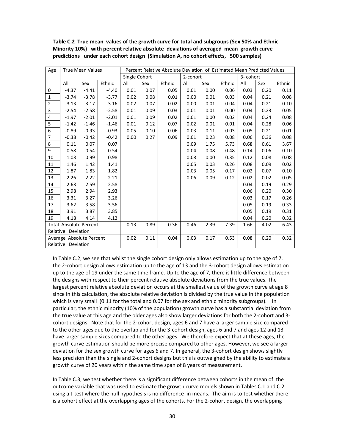| Age            |                               | <b>True Mean Values</b> |         |               |      | Percent Relative Absolute Deviation of Estimated Mean Predicted Values |          |      |        |          |      |        |
|----------------|-------------------------------|-------------------------|---------|---------------|------|------------------------------------------------------------------------|----------|------|--------|----------|------|--------|
|                |                               |                         |         | Single Cohort |      |                                                                        | 2-cohort |      |        | 3-cohort |      |        |
|                | All                           | Sex                     | Ethnic  | All           | Sex  | Ethnic                                                                 | All      | Sex  | Ethnic | All      | Sex  | Ethnic |
| 0              | $-4.37$                       | $-4.41$                 | $-4.40$ | 0.01          | 0.07 | 0.05                                                                   | 0.01     | 0.00 | 0.06   | 0.03     | 0.20 | 0.11   |
| $\mathbf{1}$   | $-3.74$                       | $-3.78$                 | $-3.77$ | 0.02          | 0.08 | 0.01                                                                   | 0.00     | 0.01 | 0.03   | 0.04     | 0.21 | 0.08   |
| $\mathbf 2$    | $-3.13$                       | $-3.17$                 | $-3.16$ | 0.02          | 0.07 | 0.02                                                                   | 0.00     | 0.01 | 0.04   | 0.04     | 0.21 | 0.10   |
| 3              | $-2.54$                       | $-2.58$                 | $-2.58$ | 0.01          | 0.09 | 0.03                                                                   | 0.01     | 0.01 | 0.00   | 0.04     | 0.23 | 0.05   |
| 4              | $-1.97$                       | $-2.01$                 | $-2.01$ | 0.01          | 0.09 | 0.02                                                                   | 0.01     | 0.00 | 0.02   | 0.04     | 0.24 | 0.08   |
| 5              | $-1.42$                       | $-1.46$                 | $-1.46$ | 0.01          | 0.12 | 0.07                                                                   | 0.02     | 0.01 | 0.01   | 0.04     | 0.28 | 0.06   |
| 6              | $-0.89$                       | $-0.93$                 | $-0.93$ | 0.05          | 0.10 | 0.06                                                                   | 0.03     | 0.11 | 0.03   | 0.05     | 0.21 | 0.01   |
| 7              | $-0.38$                       | $-0.42$                 | $-0.42$ | 0.00          | 0.27 | 0.09                                                                   | 0.01     | 0.23 | 0.08   | 0.06     | 0.36 | 0.08   |
| 8              | 0.11                          | 0.07                    | 0.07    |               |      |                                                                        | 0.09     | 1.75 | 5.73   | 0.68     | 0.61 | 3.67   |
| $\overline{9}$ | 0.58                          | 0.54                    | 0.54    |               |      |                                                                        | 0.04     | 0.08 | 0.48   | 0.14     | 0.06 | 0.10   |
| $10\,$         | 1.03                          | 0.99                    | 0.98    |               |      |                                                                        | 0.08     | 0.00 | 0.35   | 0.12     | 0.08 | 0.08   |
| $11\,$         | 1.46                          | 1.42                    | 1.41    |               |      |                                                                        | 0.05     | 0.03 | 0.26   | 0.08     | 0.09 | 0.02   |
| 12             | 1.87                          | 1.83                    | 1.82    |               |      |                                                                        | 0.03     | 0.05 | 0.17   | 0.02     | 0.07 | 0.10   |
| 13             | 2.26                          | 2.22                    | 2.21    |               |      |                                                                        | 0.06     | 0.09 | 0.12   | 0.02     | 0.02 | 0.05   |
| 14             | 2.63                          | 2.59                    | 2.58    |               |      |                                                                        |          |      |        | 0.04     | 0.19 | 0.29   |
| 15             | 2.98                          | 2.94                    | 2.93    |               |      |                                                                        |          |      |        | 0.06     | 0.20 | 0.30   |
| 16             | 3.31                          | 3.27                    | 3.26    |               |      |                                                                        |          |      |        | 0.03     | 0.17 | 0.26   |
| 17             | 3.62                          | 3.58                    | 3.56    |               |      |                                                                        |          |      |        | 0.05     | 0.19 | 0.33   |
| 18             | 3.91                          | 3.87                    | 3.85    |               |      |                                                                        |          |      |        | 0.05     | 0.19 | 0.31   |
| 19             | 4.18                          | 4.14                    | 4.12    |               |      |                                                                        |          |      |        | 0.04     | 0.20 | 0.32   |
|                | <b>Total Absolute Percent</b> |                         |         | 0.13          | 0.89 | 0.36                                                                   | 0.46     | 2.39 | 7.39   | 1.66     | 4.02 | 6.43   |
|                | Relative Deviation            |                         |         |               |      |                                                                        |          |      |        |          |      |        |
|                | Average Absolute Percent      |                         |         | 0.02          | 0.11 | 0.04                                                                   | 0.03     | 0.17 | 0.53   | 0.08     | 0.20 | 0.32   |
|                | Relative Deviation            |                         |         |               |      |                                                                        |          |      |        |          |      |        |

**Table C.2 True mean values of the growth curve for total and subgroups (Sex 50% and Ethnic Minority 10%) with percent relative absolute deviations of averaged mean growth curve predictions under each cohort design (Simulation A, no cohort effects, 500 samples)** 

In Table C.2, we see that whilst the single cohort design only allows estimation up to the age of 7, the 2-cohort design allows estimation up to the age of 13 and the 3-cohort design allows estimation up to the age of 19 under the same time frame. Up to the age of 7, there is little difference between the designs with respect to their percent relative absolute deviations from the true values. The largest percent relative absolute deviation occurs at the smallest value of the growth curve at age 8 since in this calculation, the absolute relative deviation is divided by the true value in the population which is very small (0.11 for the total and 0.07 for the sex and ethnic minority subgroups). In particular, the ethnic minority (10% of the population) growth curve has a substantial deviation from the true value at this age and the older ages also show larger deviations for both the 2-cohort and 3 cohort designs. Note that for the 2-cohort design, ages 6 and 7 have a larger sample size compared to the other ages due to the overlap and for the 3-cohort design, ages 6 and 7 and ages 12 and 13 have larger sample sizes compared to the other ages. We therefore expect that at these ages, the growth curve estimation should be more precise compared to other ages. However, we see a larger deviation for the sex growth curve for ages 6 and 7. In general, the 3-cohort design shows slightly less precision than the single and 2-cohort designs but this is outweighed by the ability to estimate a growth curve of 20 years within the same time span of 8 years of measurement.

In Table C.3, we test whether there is a significant difference between cohorts in the mean of the outcome variable that was used to estimate the growth curve models shown in Tables C.1 and C.2 using a t-test where the null hypothesis is no difference in means. The aim is to test whether there is a cohort effect at the overlapping ages of the cohorts. For the 2-cohort design, the overlapping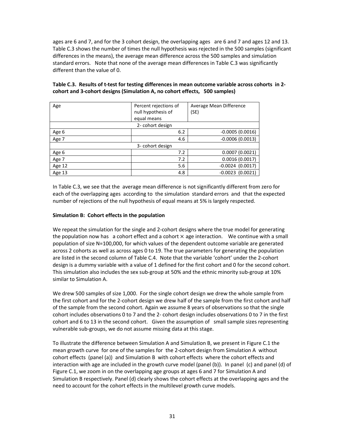ages are 6 and 7, and for the 3 cohort design, the overlapping ages are 6 and 7 and ages 12 and 13. Table C.3 shows the number of times the null hypothesis was rejected in the 500 samples (significant differences in the means), the average mean difference across the 500 samples and simulation standard errors. Note that none of the average mean differences in Table C.3 was significantly different than the value of 0.

| Age              | Percent rejections of<br>null hypothesis of | Average Mean Difference<br>(SE) |  |  |  |  |  |  |  |  |
|------------------|---------------------------------------------|---------------------------------|--|--|--|--|--|--|--|--|
|                  | equal means                                 |                                 |  |  |  |  |  |  |  |  |
|                  |                                             |                                 |  |  |  |  |  |  |  |  |
| 2- cohort design |                                             |                                 |  |  |  |  |  |  |  |  |
| Age 6            | 6.2                                         | $-0.0005(0.0016)$               |  |  |  |  |  |  |  |  |
| Age 7            | 4.6                                         | $-0.0006(0.0013)$               |  |  |  |  |  |  |  |  |
|                  | 3- cohort design                            |                                 |  |  |  |  |  |  |  |  |
| Age 6            | 7.2                                         | 0.0007(0.0021)                  |  |  |  |  |  |  |  |  |
| Age 7            | 7.2                                         | 0.0016(0.0017)                  |  |  |  |  |  |  |  |  |
| Age 12           | 5.6                                         | $-0.0024$ (0.0017)              |  |  |  |  |  |  |  |  |
| Age 13           | 4.8                                         | $-0.0023$ (0.0021)              |  |  |  |  |  |  |  |  |

**Table C.3. Results of t-test for testing differences in mean outcome variable across cohorts in 2 cohort and 3-cohort designs (Simulation A, no cohort effects, 500 samples)** 

In Table C.3, we see that the average mean difference is not significantly different from zero for each of the overlapping ages according to the simulation standard errors and that the expected number of rejections of the null hypothesis of equal means at 5% is largely respected.

#### **Simulation B: Cohort effects in the population**

We repeat the simulation for the single and 2-cohort designs where the true model for generating the population now has a cohort effect and a cohort  $\times$  age interaction. We continue with a small population of size N=100,000, for which values of the dependent outcome variable are generated across 2 cohorts as well as across ages 0 to 19. The true parameters for generating the population are listed in the second column of Table C.4. Note that the variable 'cohort' under the 2-cohort design is a dummy variable with a value of 1 defined for the first cohort and 0 for the second cohort. This simulation also includes the sex sub-group at 50% and the ethnic minority sub-group at 10% similar to Simulation A.

We drew 500 samples of size 1,000. For the single cohort design we drew the whole sample from the first cohort and for the 2-cohort design we drew half of the sample from the first cohort and half of the sample from the second cohort. Again we assume 8 years of observations so that the single cohort includes observations 0 to 7 and the 2- cohort design includes observations 0 to 7 in the first cohort and 6 to 13 in the second cohort. Given the assumption of small sample sizes representing vulnerable sub-groups, we do not assume missing data at this stage.

To illustrate the difference between Simulation A and Simulation B, we present in Figure C.1 the mean growth curve for one of the samples for the 2-cohort design from Simulation A without cohort effects (panel (a)) and Simulation B with cohort effects where the cohort effects and interaction with age are included in the growth curve model (panel (b)). In panel (c) and panel (d) of Figure C.1, we zoom in on the overlapping age groups at ages 6 and 7 for Simulation A and Simulation B respectively. Panel (d) clearly shows the cohort effects at the overlapping ages and the need to account for the cohort effects in the multilevel growth curve models.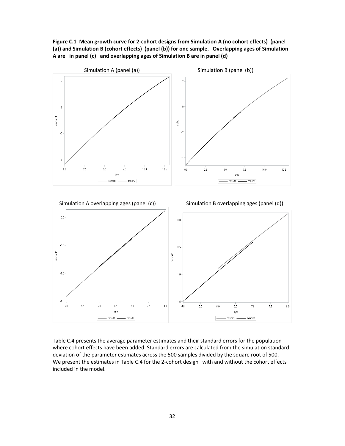**Figure C.1 Mean growth curve for 2-cohort designs from Simulation A (no cohort effects) (panel (a)) and Simulation B (cohort effects) (panel (b)) for one sample. Overlapping ages of Simulation A are in panel (c) and overlapping ages of Simulation B are in panel (d)** 



Table C.4 presents the average parameter estimates and their standard errors for the population where cohort effects have been added. Standard errors are calculated from the simulation standard deviation of the parameter estimates across the 500 samples divided by the square root of 500. We present the estimates in Table C.4 for the 2-cohort design with and without the cohort effects included in the model.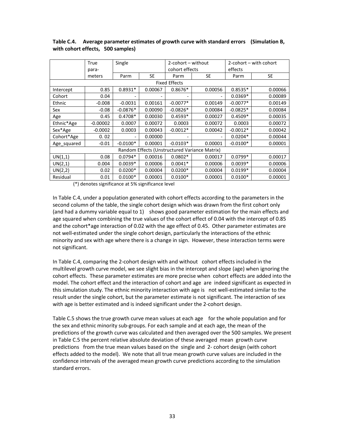|             | True<br>para- | Single<br>2-cohort – without<br>cohort effects |           |                      | effects                                       | 2-cohort – with cohort |           |  |
|-------------|---------------|------------------------------------------------|-----------|----------------------|-----------------------------------------------|------------------------|-----------|--|
|             | meters        | Parm                                           | <b>SE</b> | Parm                 | <b>SE</b>                                     | Parm                   | <b>SE</b> |  |
|             |               |                                                |           | <b>Fixed Effects</b> |                                               |                        |           |  |
| Intercept   | 0.85          | $0.8931*$                                      | 0.00067   | $0.8676*$            | 0.00056                                       | $0.8535*$              | 0.00066   |  |
| Cohort      | 0.04          |                                                |           |                      | -                                             | $0.0369*$              | 0.00089   |  |
| Ethnic      | $-0.008$      | $-0.0031$                                      | 0.00161   | $-0.0077*$           | 0.00149                                       | $-0.0077*$             | 0.00149   |  |
| Sex         | $-0.08$       | $-0.0876*$                                     | 0.00090   | $-0.0826*$           | 0.00084                                       | $-0.0825*$             | 0.00084   |  |
| Age         | 0.45          | $0.4708*$                                      | 0.00030   | $0.4593*$            | 0.00027                                       | $0.4509*$              | 0.00035   |  |
| Ethnic*Age  | $-0.00002$    | 0.0007                                         | 0.00072   | 0.0003               | 0.00072                                       | 0.0003                 | 0.00072   |  |
| Sex*Age     | $-0.0002$     | 0.0003                                         | 0.00043   | $-0.0012*$           | 0.00042                                       | $-0.0012*$             | 0.00042   |  |
| Cohort*Age  | 0.02          |                                                | 0.00000   |                      | ۰                                             | $0.0204*$              | 0.00044   |  |
| Age_squared | $-0.01$       | $-0.0100*$                                     | 0.00001   | $-0.0103*$           | 0.00001                                       | $-0.0100*$             | 0.00001   |  |
|             |               |                                                |           |                      | Random Effects (Unstructured Variance Matrix) |                        |           |  |
| UN(1,1)     | 0.08          | $0.0794*$                                      | 0.00016   | $0.0802*$            | 0.00017                                       | $0.0799*$              | 0.00017   |  |
| UN(2,1)     | 0.004         | $0.0039*$                                      | 0.00006   | $0.0041*$            | 0.00006                                       | $0.0039*$              | 0.00006   |  |
| UN(2,2)     | 0.02          | $0.0200*$                                      | 0.00004   | $0.0200*$            | 0.00004                                       | $0.0199*$              | 0.00004   |  |
| Residual    | 0.01          | $0.0100*$                                      | 0.00001   | $0.0100*$            | 0.00001                                       | $0.0100*$              | 0.00001   |  |

**Table C.4. Average parameter estimates of growth curve with standard errors (Simulation B, with cohort effects, 500 samples)** 

(\*) denotes significance at 5% significance level

In Table C.4, under a population generated with cohort effects according to the parameters in the second column of the table, the single cohort design which was drawn from the first cohort only (and had a dummy variable equal to 1) shows good parameter estimation for the main effects and age squared when combining the true values of the cohort effect of 0.04 with the intercept of 0.85 and the cohort\*age interaction of 0.02 with the age effect of 0.45. Other parameter estimates are not well-estimated under the single cohort design, particularly the interactions of the ethnic minority and sex with age where there is a change in sign. However, these interaction terms were not significant.

In Table C.4, comparing the 2-cohort design with and without cohort effects included in the multilevel growth curve model, we see slight bias in the intercept and slope (age) when ignoring the cohort effects. These parameter estimates are more precise when cohort effects are added into the model. The cohort effect and the interaction of cohort and age are indeed significant as expected in this simulation study. The ethnic minority interaction with age is not well-estimated similar to the result under the single cohort, but the parameter estimate is not significant. The interaction of sex with age is better estimated and is indeed significant under the 2-cohort design.

Table C.5 shows the true growth curve mean values at each age for the whole population and for the sex and ethnic minority sub-groups. For each sample and at each age, the mean of the predictions of the growth curve was calculated and then averaged over the 500 samples. We present in Table C.5 the percent relative absolute deviation of these averaged mean growth curve predictions from the true mean values based on the single and 2- cohort design (with cohort effects added to the model). We note that all true mean growth curve values are included in the confidence intervals of the averaged mean growth curve predictions according to the simulation standard errors.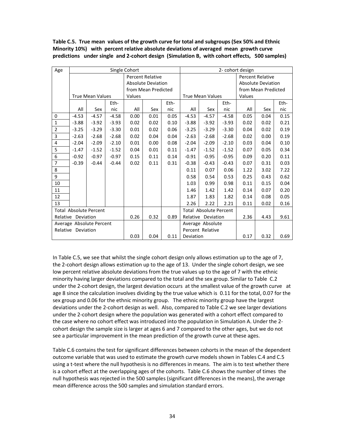**Table C.5. True mean values of the growth curve for total and subgroups (Sex 50% and Ethnic Minority 10%) with percent relative absolute deviations of averaged mean growth curve predictions under single and 2-cohort design (Simulation B, with cohort effects, 500 samples)** 

| Age            |                    |                               |                     | Single Cohort |                           |      |                  |                               |         | 2- cohort design          |                         |      |
|----------------|--------------------|-------------------------------|---------------------|---------------|---------------------------|------|------------------|-------------------------------|---------|---------------------------|-------------------------|------|
|                |                    |                               |                     |               | <b>Percent Relative</b>   |      |                  |                               |         |                           | <b>Percent Relative</b> |      |
|                |                    |                               |                     |               | <b>Absolute Deviation</b> |      |                  |                               |         | <b>Absolute Deviation</b> |                         |      |
|                |                    |                               | from Mean Predicted |               |                           |      |                  | from Mean Predicted           |         |                           |                         |      |
|                |                    | <b>True Mean Values</b>       |                     | Values        |                           |      |                  | <b>True Mean Values</b>       |         | Values                    |                         |      |
|                |                    |                               | Eth-                |               |                           | Eth- |                  |                               | Eth-    |                           |                         | Eth- |
|                | All                | Sex                           | nic                 | All           | Sex                       | nic  | All              | Sex                           | nic     | All                       | Sex                     | nic  |
| 0              | $-4.53$            | $-4.57$                       | $-4.58$             | 0.00          | 0.01                      | 0.05 | $-4.53$          | $-4.57$                       | $-4.58$ | 0.05                      | 0.04                    | 0.15 |
| $\mathbf{1}$   | $-3.88$            | $-3.92$                       | $-3.93$             | 0.02          | 0.02                      | 0.10 | $-3.88$          | $-3.92$                       | $-3.93$ | 0.02                      | 0.02                    | 0.21 |
| $\overline{2}$ | $-3.25$            | $-3.29$                       | $-3.30$             | 0.01          | 0.02                      | 0.06 | $-3.25$          | $-3.29$                       | $-3.30$ | 0.04                      | 0.02                    | 0.19 |
| 3              | $-2.63$            | $-2.68$                       | $-2.68$             | 0.02          | 0.04                      | 0.04 | $-2.63$          | $-2.68$                       | $-2.68$ | 0.02                      | 0.00                    | 0.19 |
| 4              | $-2.04$            | $-2.09$                       | $-2.10$             | 0.01          | 0.00                      | 0.08 | $-2.04$          | $-2.09$                       | $-2.10$ | 0.03                      | 0.04                    | 0.10 |
| 5              | $-1.47$            | $-1.52$                       | $-1.52$             | 0.04          | 0.01                      | 0.11 | $-1.47$          | $-1.52$                       | $-1.52$ | 0.07                      | 0.05                    | 0.34 |
| 6              | $-0.92$            | $-0.97$                       | $-0.97$             | 0.15          | 0.11                      | 0.14 | $-0.91$          | $-0.95$                       | $-0.95$ | 0.09                      | 0.20                    | 0.11 |
| $\overline{7}$ | $-0.39$            | $-0.44$                       | $-0.44$             | 0.02          | 0.11                      | 0.31 | $-0.38$          | $-0.43$                       | $-0.43$ | 0.07                      | 0.31                    | 0.03 |
| 8              |                    |                               |                     |               |                           |      | 0.11             | 0.07                          | 0.06    | 1.22                      | 3.02                    | 7.22 |
| 9              |                    |                               |                     |               |                           |      | 0.58             | 0.54                          | 0.53    | 0.25                      | 0.43                    | 0.62 |
| 10             |                    |                               |                     |               |                           |      | 1.03             | 0.99                          | 0.98    | 0.11                      | 0.15                    | 0.04 |
| 11             |                    |                               |                     |               |                           |      | 1.46             | 1.42                          | 1.42    | 0.14                      | 0.07                    | 0.20 |
| 12             |                    |                               |                     |               |                           |      | 1.87             | 1.83                          | 1.82    | 0.14                      | 0.08                    | 0.05 |
| 13             |                    |                               |                     |               |                           |      | 2.26             | 2.22                          | 2.21    | 0.11                      | 0.02                    | 0.16 |
|                |                    | <b>Total Absolute Percent</b> |                     |               |                           |      |                  | <b>Total Absolute Percent</b> |         |                           |                         |      |
|                | Relative Deviation |                               |                     | 0.26          | 0.32                      | 0.89 |                  | Relative Deviation            |         | 2.36                      | 4.43                    | 9.61 |
|                |                    | Average Absolute Percent      |                     |               |                           |      |                  | Average Absolute              |         |                           |                         |      |
|                | Relative Deviation |                               |                     |               |                           |      | Percent Relative |                               |         |                           |                         |      |
|                |                    |                               |                     | 0.03          | 0.04                      | 0.11 | Deviation        |                               |         | 0.17                      | 0.32                    | 0.69 |

In Table C.5, we see that whilst the single cohort design only allows estimation up to the age of 7, the 2-cohort design allows estimation up to the age of 13. Under the single cohort design, we see low percent relative absolute deviations from the true values up to the age of 7 with the ethnic minority having larger deviations compared to the total and the sex group. Similar to Table C.2 under the 2-cohort design, the largest deviation occurs at the smallest value of the growth curve at age 8 since the calculation involves dividing by the true value which is 0.11 for the total, 0.07 for the sex group and 0.06 for the ethnic minority group. The ethnic minority group have the largest deviations under the 2-cohort design as well. Also, compared to Table C.2 we see larger deviations under the 2-cohort design where the population was generated with a cohort effect compared to the case where no cohort effect was introduced into the population in Simulation A. Under the 2 cohort design the sample size is larger at ages 6 and 7 compared to the other ages, but we do not see a particular improvement in the mean prediction of the growth curve at these ages.

Table C.6 contains the test for significant differences between cohorts in the mean of the dependent outcome variable that was used to estimate the growth curve models shown in Tables C.4 and C.5 using a t-test where the null hypothesis is no differences in means. The aim is to test whether there is a cohort effect at the overlapping ages of the cohorts. Table C.6 shows the number of times the null hypothesis was rejected in the 500 samples (significant differences in the means), the average mean difference across the 500 samples and simulation standard errors.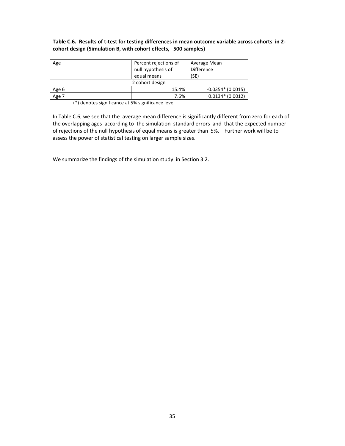# **Table C.6. Results of t-test for testing differences in mean outcome variable across cohorts in 2 cohort design (Simulation B, with cohort effects, 500 samples)**

| Age   | Percent rejections of<br>null hypothesis of<br>equal means | Average Mean<br><b>Difference</b><br>(SE) |
|-------|------------------------------------------------------------|-------------------------------------------|
|       | 2 cohort design                                            |                                           |
| Age 6 | 15.4%                                                      | $-0.0354*(0.0015)$                        |
| Age 7 | 7.6%                                                       | $0.0134*(0.0012)$                         |

(\*) denotes significance at 5% significance level

In Table C.6, we see that the average mean difference is significantly different from zero for each of the overlapping ages according to the simulation standard errors and that the expected number of rejections of the null hypothesis of equal means is greater than 5%. Further work will be to assess the power of statistical testing on larger sample sizes.

We summarize the findings of the simulation study in Section 3.2.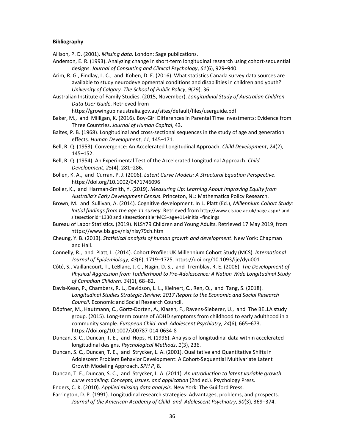#### **Bibliography**

Allison, P. D. (2001). *Missing data*. London: Sage publications.

- Anderson, E. R. (1993). Analyzing change in short-term longitudinal research using cohort-sequential designs. *Journal of Consulting and Clinical Psychology*, *61*(6), 929–940.
- Arim, R. G., Findlay, L. C., and Kohen, D. E. (2016). What statistics Canada survey data sources are available to study neurodevelopmental conditions and disabilities in children and youth? *University of Calgary. The School of Public Policy*, *9*(29), 36.

Australian Institute of Family Studies. (2015, November). *Longitudinal Study of Australian Children Data User Guide*. Retrieved from

https://growingupinaustralia.gov.au/sites/default/files/userguide.pdf

Baker, M., and Milligan, K. (2016). Boy-Girl Differences in Parental Time Investments: Evidence from Three Countries. *Journal of Human Capital*, 43.

- Baltes, P. B. (1968). Longitudinal and cross-sectional sequences in the study of age and generation effects. *Human Development*, *11*, 145–171.
- Bell, R. Q. (1953). Convergence: An Accelerated Longitudinal Approach. *Child Development*, *24*(2), 145–152.
- Bell, R. Q. (1954). An Experimental Test of the Accelerated Longitudinal Approach. *Child Development*, *25*(4), 281–286.
- Bollen, K. A., and Curran, P. J. (2006). *Latent Curve Models: A Structural Equation Perspective*. https://doi.org/10.1002/0471746096
- Boller, K., and Harman-Smith, Y. (2019). *Measuring Up: Learning About Improving Equity from Australia's Early Development Census*. Princeton, NL: Mathematica Policy Research.
- Brown, M. and Sullivan, A. (2014). Cognitive development. In L. Platt (Ed.), *Millennium Cohort Study: Initial findings from the age 11 survey*. Retrieved from http://www.cls.ioe.ac.uk/page.aspx? and sitesectionid=1330 and sitesectiontitle=MCS+age+11+initial+findings
- Bureau of Labor Statistics. (2019). NLSY79 Children and Young Adults. Retrieved 17 May 2019, from https://www.bls.gov/nls/nlsy79ch.htm
- Cheung, Y. B. (2013). *Statistical analysis of human growth and development*. New York: Chapman and Hall.
- Connelly, R., and Platt, L. (2014). Cohort Profile: UK Millennium Cohort Study (MCS). *International Journal of Epidemiology*, *43*(6), 1719–1725. https://doi.org/10.1093/ije/dyu001
- Côté, S., Vaillancourt, T., LeBlanc, J. C., Nagin, D. S., and Tremblay, R. E. (2006). *The Development of Physical Aggression from Toddlerhood to Pre-Adolescence: A Nation Wide Longitudinal Study of Canadian Children*. *34*(1), 68–82.
- Davis-Kean, P., Chambers, R. L., Davidson, L. L., Kleinert, C., Ren, Q., and Tang, S. (2018). *Longitudinal Studies Strategic Review: 2017 Report to the Economic and Social Research Council*. Economic and Social Research Council.
- Döpfner, M., Hautmann, C., Görtz-Dorten, A., Klasen, F., Ravens-Sieberer, U., and The BELLA study group. (2015). Long-term course of ADHD symptoms from childhood to early adulthood in a community sample. *European Child and Adolescent Psychiatry*, *24*(6), 665–673. https://doi.org/10.1007/s00787-014-0634-8
- Duncan, S. C., Duncan, T. E., and Hops, H. (1996). Analysis of longitudinal data within accelerated longitudinal designs. *Psychological Methods*, *1*(3), 236.
- Duncan, S. C., Duncan, T. E., and Strycker, L. A. (2001). Qualitative and Quantitative Shifts in Adolescent Problem Behavior Development: A Cohort-Sequential Multivariate Latent Growth Modeling Approach. *SPH P*, 8.
- Duncan, T. E., Duncan, S. C., and Strycker, L. A. (2011). *An introduction to latent variable growth curve modeling: Concepts, issues, and application* (2nd ed.). Psychology Press.
- Enders, C. K. (2010). *Applied missing data analysis*. New York: The Guilford Press.
- Farrington, D. P. (1991). Longitudinal research strategies: Advantages, problems, and prospects. *Journal of the American Academy of Child and Adolescent Psychiatry*, *30*(3), 369–374.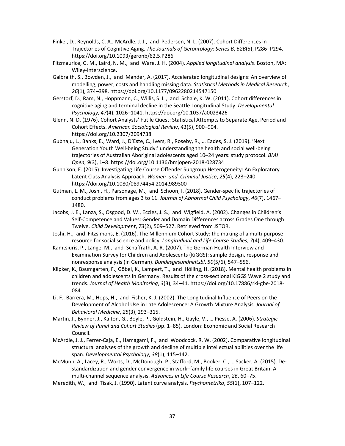- Finkel, D., Reynolds, C. A., McArdle, J. J., and Pedersen, N. L. (2007). Cohort Differences in Trajectories of Cognitive Aging. *The Journals of Gerontology: Series B*, *62B*(5), P286–P294. https://doi.org/10.1093/geronb/62.5.P286
- Fitzmaurice, G. M., Laird, N. M., and Ware, J. H. (2004). *Applied longitudinal analysis*. Boston, MA: Wiley-Interscience.
- Galbraith, S., Bowden, J., and Mander, A. (2017). Accelerated longitudinal designs: An overview of modelling, power, costs and handling missing data. *Statistical Methods in Medical Research*, *26*(1), 374–398. https://doi.org/10.1177/0962280214547150
- Gerstorf, D., Ram, N., Hoppmann, C., Willis, S. L., and Schaie, K. W. (2011). Cohort differences in cognitive aging and terminal decline in the Seattle Longitudinal Study. *Developmental Psychology*, *47*(4), 1026–1041. https://doi.org/10.1037/a0023426
- Glenn, N. D. (1976). Cohort Analysts' Futile Quest: Statistical Attempts to Separate Age, Period and Cohort Effects. *American Sociological Review*, *41*(5), 900–904. https://doi.org/10.2307/2094738
- Gubhaju, L., Banks, E., Ward, J., D'Este, C., Ivers, R., Roseby, R., … Eades, S. J. (2019). 'Next Generation Youth Well-being Study:' understanding the health and social well-being trajectories of Australian Aboriginal adolescents aged 10–24 years: study protocol. *BMJ Open*, *9*(3), 1–8. https://doi.org/10.1136/bmjopen-2018-028734
- Gunnison, E. (2015). Investigating Life Course Offender Subgroup Heterogeneity: An Exploratory Latent Class Analysis Approach. *Women and Criminal Justice*, *25*(4), 223–240. https://doi.org/10.1080/08974454.2014.989300
- Gutman, L. M., Joshi, H., Parsonage, M., and Schoon, I. (2018). Gender-specific trajectories of conduct problems from ages 3 to 11. *Journal of Abnormal Child Psychology*, *46*(7), 1467– 1480.
- Jacobs, J. E., Lanza, S., Osgood, D. W., Eccles, J. S., and Wigfield, A. (2002). Changes in Children's Self-Competence and Values: Gender and Domain Differences across Grades One through Twelve. *Child Development*, *73*(2), 509–527. Retrieved from JSTOR.
- Joshi, H., and Fitzsimons, E. (2016). The Millennium Cohort Study: the making of a multi-purpose resource for social science and policy. *Longitudinal and Life Course Studies*, *7*(4), 409–430.
- Kamtsiuris, P., Lange, M., and Schaffrath, A. R. (2007). The German Health Interview and Examination Survey for Children and Adolescents (KiGGS): sample design, response and nonresponse analysis (in German). *Bundesgesundheitsbl*, *50*(5/6), 547–556.
- Klipker, K., Baumgarten, F., Göbel, K., Lampert, T., and Hölling, H. (2018). Mental health problems in children and adolescents in Germany. Results of the cross-sectional KiGGS Wave 2 study and trends. *Journal of Health Monitoring*, *3*(3), 34–41. https://doi.org/10.17886/rki-gbe-2018- 084
- Li, F., Barrera, M., Hops, H., and Fisher, K. J. (2002). The Longitudinal Influence of Peers on the Development of Alcohol Use in Late Adolescence: A Growth Mixture Analysis. *Journal of Behavioral Medicine*, *25*(3), 293–315.
- Martin, J., Bynner, J., Kalton, G., Boyle, P., Goldstein, H., Gayle, V., … Piesse, A. (2006). *Strategic Review of Panel and Cohort Studies* (pp. 1–85). London: Economic and Social Research Council.
- McArdle, J. J., Ferrer-Caja, E., Hamagami, F., and Woodcock, R. W. (2002). Comparative longitudinal structural analyses of the growth and decline of multiple intellectual abilities over the life span. *Developmental Psychology*, *38*(1), 115–142.
- McMunn, A., Lacey, R., Worts, D., McDonough, P., Stafford, M., Booker, C., … Sacker, A. (2015). Destandardization and gender convergence in work–family life courses in Great Britain: A multi-channel sequence analysis. *Advances in Life Course Research*, *26*, 60–75.
- Meredith, W., and Tisak, J. (1990). Latent curve analysis. *Psychometrika*, *55*(1), 107–122.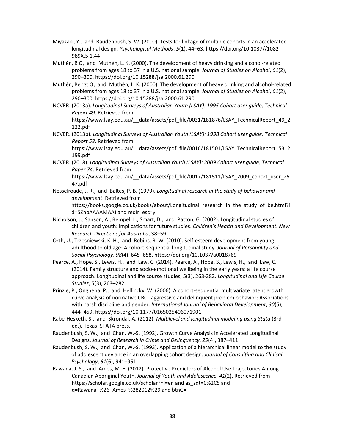- Miyazaki, Y., and Raudenbush, S. W. (2000). Tests for linkage of multiple cohorts in an accelerated longitudinal design. *Psychological Methods*, *5*(1), 44–63. https://doi.org/10.1037//1082- 989X.5.1.44
- Muthén, B O, and Muthén, L. K. (2000). The development of heavy drinking and alcohol-related problems from ages 18 to 37 in a U.S. national sample. *Journal of Studies on Alcohol*, *61*(2), 290–300. https://doi.org/10.15288/jsa.2000.61.290
- Muthén, Bengt O, and Muthén, L. K. (2000). The development of heavy drinking and alcohol-related problems from ages 18 to 37 in a U.S. national sample. *Journal of Studies on Alcohol*, *61*(2), 290–300. https://doi.org/10.15288/jsa.2000.61.290
- NCVER. (2013a). *Longitudinal Surveys of Australian Youth (LSAY): 1995 Cohort user guide, Technical Report 49*. Retrieved from https://www.lsay.edu.au/\_\_data/assets/pdf\_file/0031/181876/LSAY\_TechnicalReport\_49\_2 122.pdf
- NCVER. (2013b). *Longitudinal Surveys of Australian Youth (LSAY): 1998 Cohort user guide, Technical Report 53*. Retrieved from https://www.lsay.edu.au/\_\_data/assets/pdf\_file/0016/181501/LSAY\_TechnicalReport\_53\_2

199.pdf

- NCVER. (2018). *Longitudinal Surveys of Australian Youth (LSAY): 2009 Cohort user guide, Technical Paper 74*. Retrieved from https://www.lsay.edu.au/\_\_data/assets/pdf\_file/0017/181511/LSAY\_2009\_cohort\_user\_25 47.pdf
- Nesselroade, J. R., and Baltes, P. B. (1979). *Longitudinal research in the study of behavior and development*. Retrieved from https://books.google.co.uk/books/about/Longitudinal research in the study of be.html?i d=5ZhpAAAAMAAJ and redir\_esc=y
- Nicholson, J., Sanson, A., Rempel, L., Smart, D., and Patton, G. (2002). Longitudinal studies of children and youth: Implications for future studies. *Children's Health and Development: New Research Directions for Australia*, 38–59.
- Orth, U., Trzesniewski, K. H., and Robins, R. W. (2010). Self-esteem development from young adulthood to old age: A cohort-sequential longitudinal study. *Journal of Personality and Social Psychology*, *98*(4), 645–658. https://doi.org/10.1037/a0018769
- Pearce, A., Hope, S., Lewis, H., and Law, C. (2014). Pearce, A., Hope, S., Lewis, H., and Law, C. (2014). Family structure and socio-emotional wellbeing in the early years: a life course approach. Longitudinal and life course studies, 5(3), 263-282. *Longitudinal and Life Course Studies*, *5*(3), 263–282.
- Prinzie, P., Onghena, P., and Hellinckx, W. (2006). A cohort-sequential multivariate latent growth curve analysis of normative CBCL aggressive and delinquent problem behavior: Associations with harsh discipline and gender. *International Journal of Behavioral Development*, *30*(5), 444–459. https://doi.org/10.1177/0165025406071901
- Rabe-Hesketh, S., and Skrondal, A. (2012). *Multilevel and longitudinal modeling using Stata* (3rd ed.). Texas: STATA press.
- Raudenbush, S. W., and Chan, W.-S. (1992). Growth Curve Analysis in Accelerated Longitudinal Designs. *Journal of Research in Crime and Delinquency*, *29*(4), 387–411.
- Raudenbush, S. W., and Chan, W.-S. (1993). Application of a hierarchical linear model to the study of adolescent deviance in an overlapping cohort design. *Journal of Consulting and Clinical Psychology*, *61*(6), 941–951.
- Rawana, J. S., and Ames, M. E. (2012). Protective Predictors of Alcohol Use Trajectories Among Canadian Aboriginal Youth. *Journal of Youth and Adolescence*, *41*(2). Retrieved from https://scholar.google.co.uk/scholar?hl=en and as\_sdt=0%2C5 and q=Rawana+%26+Ames+%282012%29 and btnG=